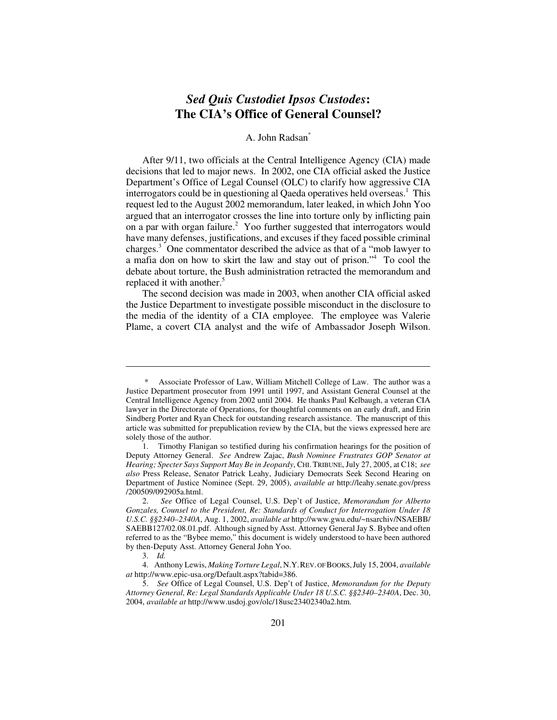# *Sed Quis Custodiet Ipsos Custodes***: The CIA's Office of General Counsel?**

# A. John Radsan\*

After 9/11, two officials at the Central Intelligence Agency (CIA) made decisions that led to major news. In 2002, one CIA official asked the Justice Department's Office of Legal Counsel (OLC) to clarify how aggressive CIA interrogators could be in questioning al Qaeda operatives held overseas.<sup>1</sup> This request led to the August 2002 memorandum, later leaked, in which John Yoo argued that an interrogator crosses the line into torture only by inflicting pain on a par with organ failure.<sup>2</sup> Yoo further suggested that interrogators would have many defenses, justifications, and excuses if they faced possible criminal charges.<sup>3</sup> One commentator described the advice as that of a "mob lawyer to a mafia don on how to skirt the law and stay out of prison."4 To cool the debate about torture, the Bush administration retracted the memorandum and replaced it with another.<sup>5</sup>

The second decision was made in 2003, when another CIA official asked the Justice Department to investigate possible misconduct in the disclosure to the media of the identity of a CIA employee. The employee was Valerie Plame, a covert CIA analyst and the wife of Ambassador Joseph Wilson.

Associate Professor of Law, William Mitchell College of Law. The author was a Justice Department prosecutor from 1991 until 1997, and Assistant General Counsel at the Central Intelligence Agency from 2002 until 2004. He thanks Paul Kelbaugh, a veteran CIA lawyer in the Directorate of Operations, for thoughtful comments on an early draft, and Erin Sindberg Porter and Ryan Check for outstanding research assistance. The manuscript of this article was submitted for prepublication review by the CIA, but the views expressed here are solely those of the author.

<sup>1.</sup> Timothy Flanigan so testified during his confirmation hearings for the position of Deputy Attorney General. *See* Andrew Zajac, *Bush Nominee Frustrates GOP Senator at Hearing; Specter Says Support May Be in Jeopardy*, CHI.TRIBUNE, July 27, 2005, at C18; *see also* Press Release, Senator Patrick Leahy, Judiciary Democrats Seek Second Hearing on Department of Justice Nominee (Sept. 29, 2005), *available at* http://leahy.senate.gov/press /200509/092905a.html.

<sup>2.</sup> *See* Office of Legal Counsel, U.S. Dep't of Justice, *Memorandum for Alberto Gonzales, Counsel to the President, Re: Standards of Conduct for Interrogation Under 18 U.S.C. §§2340–2340A*, Aug. 1, 2002, *available at* http://www.gwu.edu/~nsarchiv/NSAEBB/ SAEBB127/02.08.01.pdf. Although signed by Asst. Attorney General Jay S. Bybee and often referred to as the "Bybee memo," this document is widely understood to have been authored by then-Deputy Asst. Attorney General John Yoo.

<sup>3.</sup> *Id.*

<sup>4.</sup> Anthony Lewis, *Making Torture Legal*, N.Y.REV. OF BOOKS,July 15, 2004, *available at* http://www.epic-usa.org/Default.aspx?tabid=386.

<sup>5.</sup> *See* Office of Legal Counsel, U.S. Dep't of Justice, *Memorandum for the Deputy Attorney General, Re: Legal Standards Applicable Under 18 U.S.C. §§2340–2340A*, Dec. 30, 2004, *available at* http://www.usdoj.gov/olc/18usc23402340a2.htm.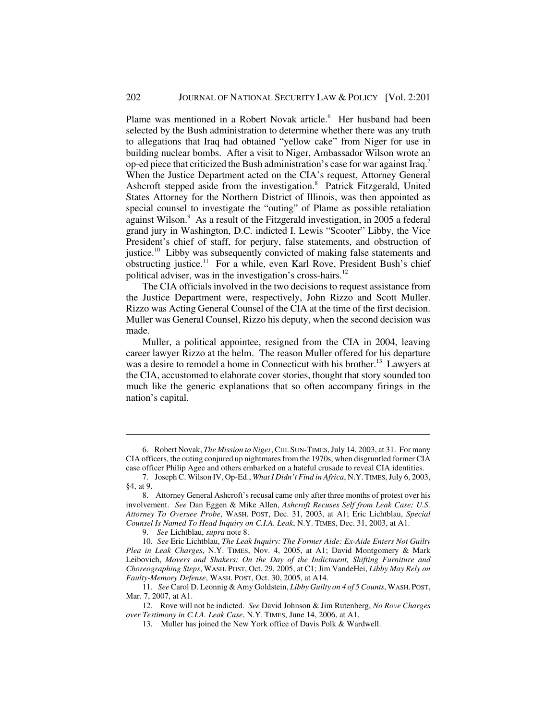Plame was mentioned in a Robert Novak article.<sup>6</sup> Her husband had been selected by the Bush administration to determine whether there was any truth to allegations that Iraq had obtained "yellow cake" from Niger for use in building nuclear bombs. After a visit to Niger, Ambassador Wilson wrote an op-ed piece that criticized the Bush administration's case for war against Iraq.<sup>7</sup> When the Justice Department acted on the CIA's request, Attorney General Ashcroft stepped aside from the investigation.<sup>8</sup> Patrick Fitzgerald, United States Attorney for the Northern District of Illinois, was then appointed as special counsel to investigate the "outing" of Plame as possible retaliation against Wilson.<sup>9</sup> As a result of the Fitzgerald investigation, in 2005 a federal grand jury in Washington, D.C. indicted I. Lewis "Scooter" Libby, the Vice President's chief of staff, for perjury, false statements, and obstruction of justice.<sup>10</sup> Libby was subsequently convicted of making false statements and obstructing justice.11 For a while, even Karl Rove, President Bush's chief political adviser, was in the investigation's cross-hairs.<sup>12</sup>

The CIA officials involved in the two decisions to request assistance from the Justice Department were, respectively, John Rizzo and Scott Muller. Rizzo was Acting General Counsel of the CIA at the time of the first decision. Muller was General Counsel, Rizzo his deputy, when the second decision was made.

Muller, a political appointee, resigned from the CIA in 2004, leaving career lawyer Rizzo at the helm. The reason Muller offered for his departure was a desire to remodel a home in Connecticut with his brother.<sup>13</sup> Lawyers at the CIA, accustomed to elaborate cover stories, thought that story sounded too much like the generic explanations that so often accompany firings in the nation's capital.

<sup>6.</sup> Robert Novak, *The Mission to Niger*, CHI.SUN-TIMES, July 14, 2003, at 31. For many CIA officers, the outing conjured up nightmares from the 1970s, when disgruntled former CIA case officer Philip Agee and others embarked on a hateful crusade to reveal CIA identities.

<sup>7.</sup> Joseph C. Wilson IV, Op-Ed., *What I Didn't Find in Africa*, N.Y.TIMES, July 6, 2003, §4, at 9.

<sup>8.</sup> Attorney General Ashcroft's recusal came only after three months of protest over his involvement. *See* Dan Eggen & Mike Allen, *Ashcroft Recuses Self from Leak Case; U.S. Attorney To Oversee Probe*, WASH. POST, Dec. 31, 2003, at A1; Eric Lichtblau, *Special Counsel Is Named To Head Inquiry on C.I.A. Leak*, N.Y. TIMES, Dec. 31, 2003, at A1.

<sup>9.</sup> *See* Lichtblau, *supra* note 8.

<sup>10.</sup> *See* Eric Lichtblau, *The Leak Inquiry: The Former Aide: Ex-Aide Enters Not Guilty Plea in Leak Charges*, N.Y. TIMES, Nov. 4, 2005, at A1; David Montgomery & Mark Leibovich, *Movers and Shakers: On the Day of the Indictment, Shifting Furniture and Choreographing Steps*, WASH. POST, Oct. 29, 2005, at C1; Jim VandeHei, *Libby May Rely on Faulty-Memory Defense*, WASH. POST, Oct. 30, 2005, at A14.

<sup>11.</sup> *See* Carol D. Leonnig & Amy Goldstein, *Libby Guilty on 4 of 5 Counts*, WASH.POST, Mar. 7, 2007, at A1.

<sup>12.</sup> Rove will not be indicted. *See* David Johnson & Jim Rutenberg, *No Rove Charges over Testimony in C.I.A. Leak Case*, N.Y. TIMES, June 14, 2006, at A1.

<sup>13.</sup> Muller has joined the New York office of Davis Polk & Wardwell.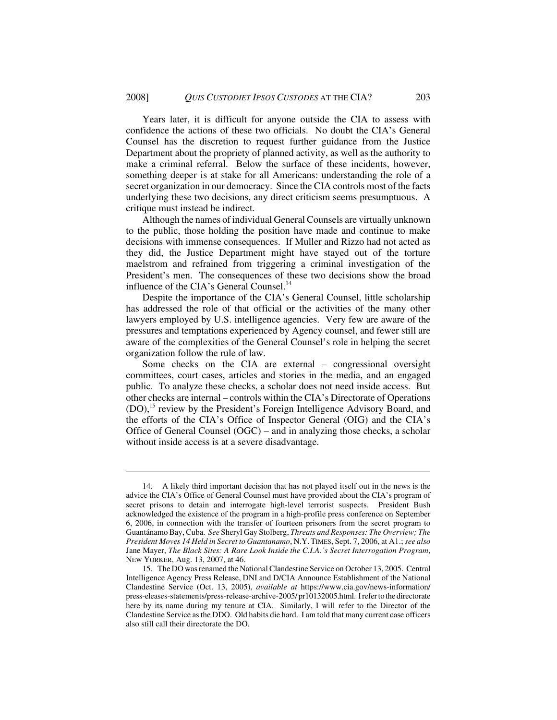Years later, it is difficult for anyone outside the CIA to assess with confidence the actions of these two officials. No doubt the CIA's General Counsel has the discretion to request further guidance from the Justice Department about the propriety of planned activity, as well as the authority to make a criminal referral. Below the surface of these incidents, however, something deeper is at stake for all Americans: understanding the role of a secret organization in our democracy. Since the CIA controls most of the facts underlying these two decisions, any direct criticism seems presumptuous. A critique must instead be indirect.

Although the names of individual General Counsels are virtually unknown to the public, those holding the position have made and continue to make decisions with immense consequences. If Muller and Rizzo had not acted as they did, the Justice Department might have stayed out of the torture maelstrom and refrained from triggering a criminal investigation of the President's men. The consequences of these two decisions show the broad influence of the CIA's General Counsel.<sup>14</sup>

Despite the importance of the CIA's General Counsel, little scholarship has addressed the role of that official or the activities of the many other lawyers employed by U.S. intelligence agencies. Very few are aware of the pressures and temptations experienced by Agency counsel, and fewer still are aware of the complexities of the General Counsel's role in helping the secret organization follow the rule of law.

Some checks on the CIA are external – congressional oversight committees, court cases, articles and stories in the media, and an engaged public. To analyze these checks, a scholar does not need inside access. But other checks are internal – controls within the CIA's Directorate of Operations (DO),<sup>15</sup> review by the President's Foreign Intelligence Advisory Board, and the efforts of the CIA's Office of Inspector General (OIG) and the CIA's Office of General Counsel (OGC) – and in analyzing those checks, a scholar without inside access is at a severe disadvantage.

<sup>14.</sup> A likely third important decision that has not played itself out in the news is the advice the CIA's Office of General Counsel must have provided about the CIA's program of secret prisons to detain and interrogate high-level terrorist suspects. President Bush acknowledged the existence of the program in a high-profile press conference on September 6, 2006, in connection with the transfer of fourteen prisoners from the secret program to Guantánamo Bay, Cuba. *See* Sheryl Gay Stolberg, *Threats and Responses: The Overview; The President Moves 14 Held in Secret to Guantanamo*, N.Y.TIMES, Sept. 7, 2006, at A1.; *see also* Jane Mayer, *The Black Sites: A Rare Look Inside the C.I.A.'s Secret Interrogation Program*, NEW YORKER, Aug. 13, 2007, at 46.

<sup>15.</sup> The DO was renamed the National Clandestine Service on October 13, 2005. Central Intelligence Agency Press Release, DNI and D/CIA Announce Establishment of the National Clandestine Service (Oct. 13, 2005), *available at* https://www.cia.gov/news-information/ press-eleases-statements/press-release-archive-2005/ pr10132005.html. I refer to the directorate here by its name during my tenure at CIA. Similarly, I will refer to the Director of the Clandestine Service as the DDO. Old habits die hard. I am told that many current case officers also still call their directorate the DO.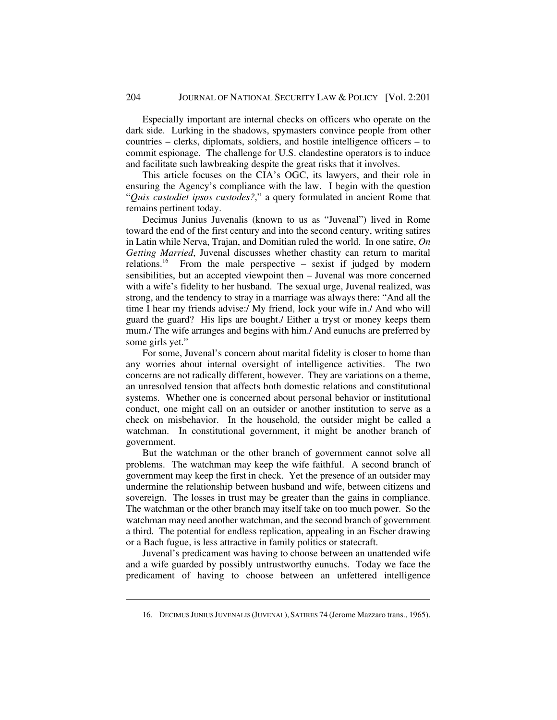Especially important are internal checks on officers who operate on the dark side. Lurking in the shadows, spymasters convince people from other countries – clerks, diplomats, soldiers, and hostile intelligence officers – to commit espionage. The challenge for U.S. clandestine operators is to induce and facilitate such lawbreaking despite the great risks that it involves.

This article focuses on the CIA's OGC, its lawyers, and their role in ensuring the Agency's compliance with the law. I begin with the question "*Quis custodiet ipsos custodes?*," a query formulated in ancient Rome that remains pertinent today.

Decimus Junius Juvenalis (known to us as "Juvenal") lived in Rome toward the end of the first century and into the second century, writing satires in Latin while Nerva, Trajan, and Domitian ruled the world. In one satire, *On Getting Married*, Juvenal discusses whether chastity can return to marital relations.<sup>16</sup> From the male perspective – sexist if judged by modern sensibilities, but an accepted viewpoint then – Juvenal was more concerned with a wife's fidelity to her husband. The sexual urge, Juvenal realized, was strong, and the tendency to stray in a marriage was always there: "And all the time I hear my friends advise:/ My friend, lock your wife in./ And who will guard the guard? His lips are bought./ Either a tryst or money keeps them mum./ The wife arranges and begins with him./ And eunuchs are preferred by some girls yet."

For some, Juvenal's concern about marital fidelity is closer to home than any worries about internal oversight of intelligence activities. The two concerns are not radically different, however. They are variations on a theme, an unresolved tension that affects both domestic relations and constitutional systems. Whether one is concerned about personal behavior or institutional conduct, one might call on an outsider or another institution to serve as a check on misbehavior. In the household, the outsider might be called a watchman. In constitutional government, it might be another branch of government.

But the watchman or the other branch of government cannot solve all problems. The watchman may keep the wife faithful. A second branch of government may keep the first in check. Yet the presence of an outsider may undermine the relationship between husband and wife, between citizens and sovereign. The losses in trust may be greater than the gains in compliance. The watchman or the other branch may itself take on too much power. So the watchman may need another watchman, and the second branch of government a third. The potential for endless replication, appealing in an Escher drawing or a Bach fugue, is less attractive in family politics or statecraft.

Juvenal's predicament was having to choose between an unattended wife and a wife guarded by possibly untrustworthy eunuchs. Today we face the predicament of having to choose between an unfettered intelligence

<sup>16.</sup> DECIMUS JUNIUS JUVENALIS (JUVENAL),SATIRES 74 (Jerome Mazzaro trans., 1965).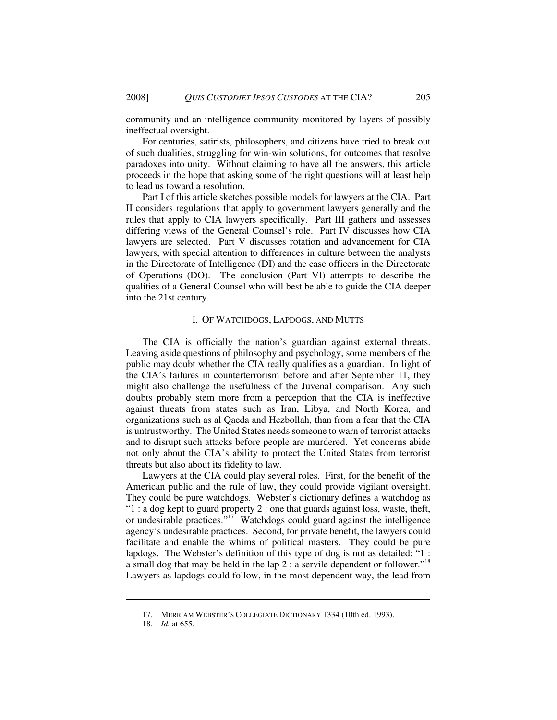community and an intelligence community monitored by layers of possibly ineffectual oversight.

For centuries, satirists, philosophers, and citizens have tried to break out of such dualities, struggling for win-win solutions, for outcomes that resolve paradoxes into unity. Without claiming to have all the answers, this article proceeds in the hope that asking some of the right questions will at least help to lead us toward a resolution.

Part I of this article sketches possible models for lawyers at the CIA. Part II considers regulations that apply to government lawyers generally and the rules that apply to CIA lawyers specifically. Part III gathers and assesses differing views of the General Counsel's role. Part IV discusses how CIA lawyers are selected. Part V discusses rotation and advancement for CIA lawyers, with special attention to differences in culture between the analysts in the Directorate of Intelligence (DI) and the case officers in the Directorate of Operations (DO). The conclusion (Part VI) attempts to describe the qualities of a General Counsel who will best be able to guide the CIA deeper into the 21st century.

### I. OF WATCHDOGS, LAPDOGS, AND MUTTS

The CIA is officially the nation's guardian against external threats. Leaving aside questions of philosophy and psychology, some members of the public may doubt whether the CIA really qualifies as a guardian. In light of the CIA's failures in counterterrorism before and after September 11, they might also challenge the usefulness of the Juvenal comparison. Any such doubts probably stem more from a perception that the CIA is ineffective against threats from states such as Iran, Libya, and North Korea, and organizations such as al Qaeda and Hezbollah, than from a fear that the CIA is untrustworthy. The United States needs someone to warn of terrorist attacks and to disrupt such attacks before people are murdered. Yet concerns abide not only about the CIA's ability to protect the United States from terrorist threats but also about its fidelity to law.

Lawyers at the CIA could play several roles. First, for the benefit of the American public and the rule of law, they could provide vigilant oversight. They could be pure watchdogs. Webster's dictionary defines a watchdog as " $1: a dog kept to guard property 2: one that guards against loss, waste, the *fft*,$ or undesirable practices."<sup>17</sup> Watchdogs could guard against the intelligence agency's undesirable practices. Second, for private benefit, the lawyers could facilitate and enable the whims of political masters. They could be pure lapdogs. The Webster's definition of this type of dog is not as detailed: "1 : a small dog that may be held in the lap  $2:$  a servile dependent or follower."<sup>18</sup> Lawyers as lapdogs could follow, in the most dependent way, the lead from

<sup>17.</sup> MERRIAM WEBSTER'S COLLEGIATE DICTIONARY 1334 (10th ed. 1993).

<sup>18.</sup> *Id.* at 655.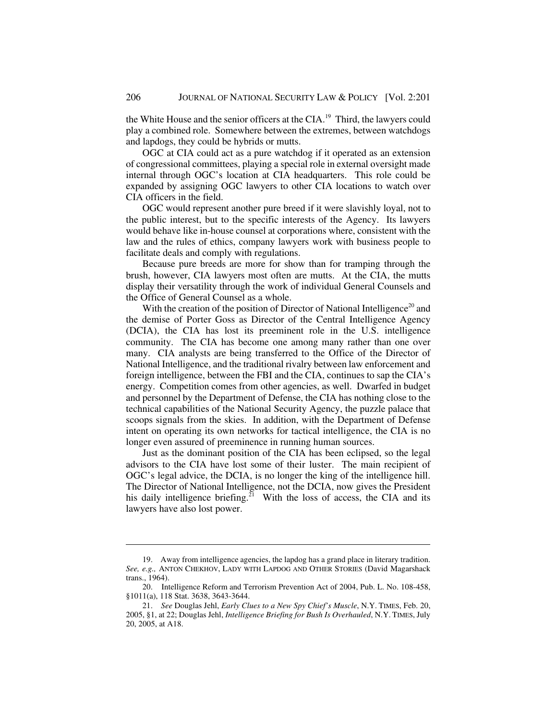the White House and the senior officers at the CIA.<sup>19</sup> Third, the lawyers could play a combined role. Somewhere between the extremes, between watchdogs and lapdogs, they could be hybrids or mutts.

OGC at CIA could act as a pure watchdog if it operated as an extension of congressional committees, playing a special role in external oversight made internal through OGC's location at CIA headquarters. This role could be expanded by assigning OGC lawyers to other CIA locations to watch over CIA officers in the field.

OGC would represent another pure breed if it were slavishly loyal, not to the public interest, but to the specific interests of the Agency. Its lawyers would behave like in-house counsel at corporations where, consistent with the law and the rules of ethics, company lawyers work with business people to facilitate deals and comply with regulations.

Because pure breeds are more for show than for tramping through the brush, however, CIA lawyers most often are mutts. At the CIA, the mutts display their versatility through the work of individual General Counsels and the Office of General Counsel as a whole.

With the creation of the position of Director of National Intelligence<sup>20</sup> and the demise of Porter Goss as Director of the Central Intelligence Agency (DCIA), the CIA has lost its preeminent role in the U.S. intelligence community. The CIA has become one among many rather than one over many. CIA analysts are being transferred to the Office of the Director of National Intelligence, and the traditional rivalry between law enforcement and foreign intelligence, between the FBI and the CIA, continues to sap the CIA's energy. Competition comes from other agencies, as well. Dwarfed in budget and personnel by the Department of Defense, the CIA has nothing close to the technical capabilities of the National Security Agency, the puzzle palace that scoops signals from the skies. In addition, with the Department of Defense intent on operating its own networks for tactical intelligence, the CIA is no longer even assured of preeminence in running human sources.

Just as the dominant position of the CIA has been eclipsed, so the legal advisors to the CIA have lost some of their luster. The main recipient of OGC's legal advice, the DCIA, is no longer the king of the intelligence hill. The Director of National Intelligence, not the DCIA, now gives the President his daily intelligence briefing.<sup>21</sup> With the loss of access, the CIA and its lawyers have also lost power.

<sup>19.</sup> Away from intelligence agencies, the lapdog has a grand place in literary tradition. *See, e.g.,* ANTON CHEKHOV, LADY WITH LAPDOG AND OTHER STORIES (David Magarshack trans., 1964).

<sup>20.</sup> Intelligence Reform and Terrorism Prevention Act of 2004, Pub. L. No. 108-458, §1011(a), 118 Stat. 3638, 3643-3644.

<sup>21.</sup> *See* Douglas Jehl, *Early Clues to a New Spy Chief's Muscle*, N.Y. TIMES, Feb. 20, 2005, §1, at 22; Douglas Jehl, *Intelligence Briefing for Bush Is Overhauled*, N.Y. TIMES, July 20, 2005, at A18.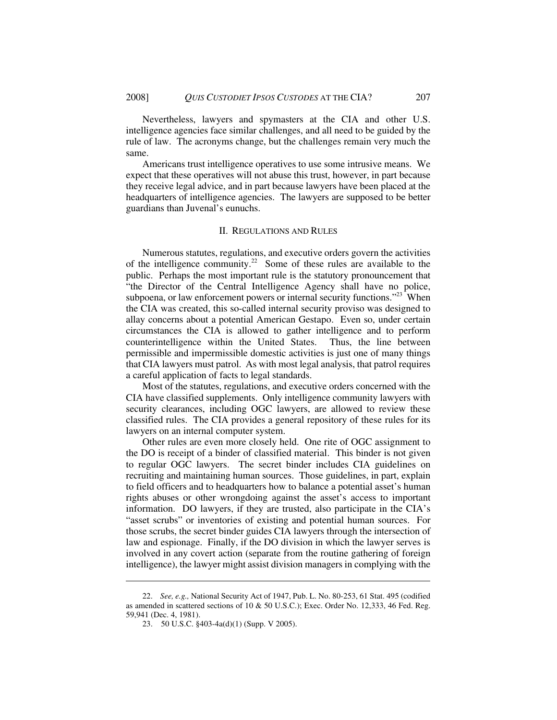Nevertheless, lawyers and spymasters at the CIA and other U.S. intelligence agencies face similar challenges, and all need to be guided by the rule of law. The acronyms change, but the challenges remain very much the same.

Americans trust intelligence operatives to use some intrusive means. We expect that these operatives will not abuse this trust, however, in part because they receive legal advice, and in part because lawyers have been placed at the headquarters of intelligence agencies. The lawyers are supposed to be better guardians than Juvenal's eunuchs.

### II. REGULATIONS AND RULES

Numerous statutes, regulations, and executive orders govern the activities of the intelligence community.<sup>22</sup> Some of these rules are available to the public. Perhaps the most important rule is the statutory pronouncement that "the Director of the Central Intelligence Agency shall have no police, subpoena, or law enforcement powers or internal security functions.<sup>"23</sup> When the CIA was created, this so-called internal security proviso was designed to allay concerns about a potential American Gestapo. Even so, under certain circumstances the CIA is allowed to gather intelligence and to perform counterintelligence within the United States. Thus, the line between permissible and impermissible domestic activities is just one of many things that CIA lawyers must patrol. As with most legal analysis, that patrol requires a careful application of facts to legal standards.

Most of the statutes, regulations, and executive orders concerned with the CIA have classified supplements. Only intelligence community lawyers with security clearances, including OGC lawyers, are allowed to review these classified rules. The CIA provides a general repository of these rules for its lawyers on an internal computer system.

Other rules are even more closely held. One rite of OGC assignment to the DO is receipt of a binder of classified material. This binder is not given to regular OGC lawyers. The secret binder includes CIA guidelines on recruiting and maintaining human sources. Those guidelines, in part, explain to field officers and to headquarters how to balance a potential asset's human rights abuses or other wrongdoing against the asset's access to important information. DO lawyers, if they are trusted, also participate in the CIA's "asset scrubs" or inventories of existing and potential human sources. For those scrubs, the secret binder guides CIA lawyers through the intersection of law and espionage. Finally, if the DO division in which the lawyer serves is involved in any covert action (separate from the routine gathering of foreign intelligence), the lawyer might assist division managers in complying with the

<sup>22.</sup> *See, e.g.,* National Security Act of 1947, Pub. L. No. 80-253, 61 Stat. 495 (codified as amended in scattered sections of 10 & 50 U.S.C.); Exec. Order No. 12,333, 46 Fed. Reg. 59,941 (Dec. 4, 1981).

<sup>23. 50</sup> U.S.C. §403-4a(d)(1) (Supp. V 2005).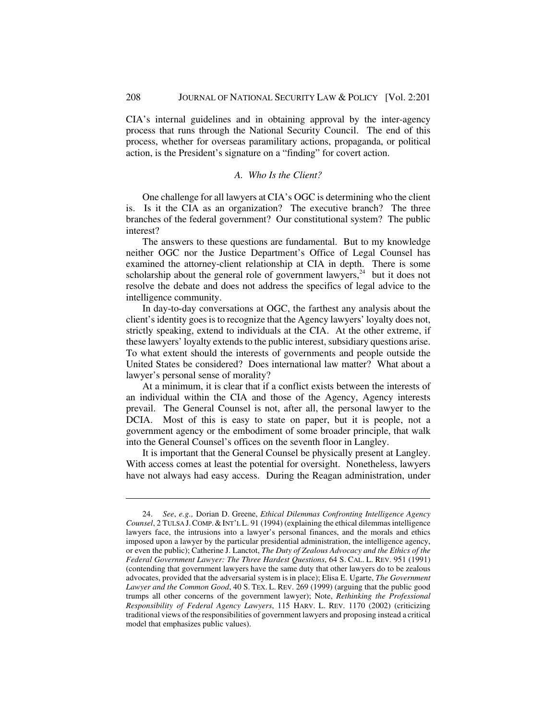CIA's internal guidelines and in obtaining approval by the inter-agency process that runs through the National Security Council. The end of this process, whether for overseas paramilitary actions, propaganda, or political action, is the President's signature on a "finding" for covert action.

### *A. Who Is the Client?*

One challenge for all lawyers at CIA's OGC is determining who the client is. Is it the CIA as an organization? The executive branch? The three branches of the federal government? Our constitutional system? The public interest?

The answers to these questions are fundamental. But to my knowledge neither OGC nor the Justice Department's Office of Legal Counsel has examined the attorney-client relationship at CIA in depth. There is some scholarship about the general role of government lawyers, $24$  but it does not resolve the debate and does not address the specifics of legal advice to the intelligence community.

In day-to-day conversations at OGC, the farthest any analysis about the client's identity goes is to recognize that the Agency lawyers' loyalty does not, strictly speaking, extend to individuals at the CIA. At the other extreme, if these lawyers' loyalty extends to the public interest, subsidiary questions arise. To what extent should the interests of governments and people outside the United States be considered? Does international law matter? What about a lawyer's personal sense of morality?

At a minimum, it is clear that if a conflict exists between the interests of an individual within the CIA and those of the Agency, Agency interests prevail. The General Counsel is not, after all, the personal lawyer to the DCIA. Most of this is easy to state on paper, but it is people, not a government agency or the embodiment of some broader principle, that walk into the General Counsel's offices on the seventh floor in Langley.

It is important that the General Counsel be physically present at Langley. With access comes at least the potential for oversight. Nonetheless, lawyers have not always had easy access. During the Reagan administration, under

<sup>24.</sup> *See*, *e.g.,* Dorian D. Greene, *Ethical Dilemmas Confronting Intelligence Agency Counsel*, 2 TULSA J. COMP. & INT'L L. 91 (1994) (explaining the ethical dilemmas intelligence lawyers face, the intrusions into a lawyer's personal finances, and the morals and ethics imposed upon a lawyer by the particular presidential administration, the intelligence agency, or even the public); Catherine J. Lanctot, *The Duty of Zealous Advocacy and the Ethics of the Federal Government Lawyer: The Three Hardest Questions*, 64 S. CAL. L. REV. 951 (1991) (contending that government lawyers have the same duty that other lawyers do to be zealous advocates, provided that the adversarial system is in place); Elisa E. Ugarte, *The Government Lawyer and the Common Good*, 40 S. TEX. L. REV. 269 (1999) (arguing that the public good trumps all other concerns of the government lawyer); Note, *Rethinking the Professional Responsibility of Federal Agency Lawyers*, 115 HARV. L. REV. 1170 (2002) (criticizing traditional views of the responsibilities of government lawyers and proposing instead a critical model that emphasizes public values).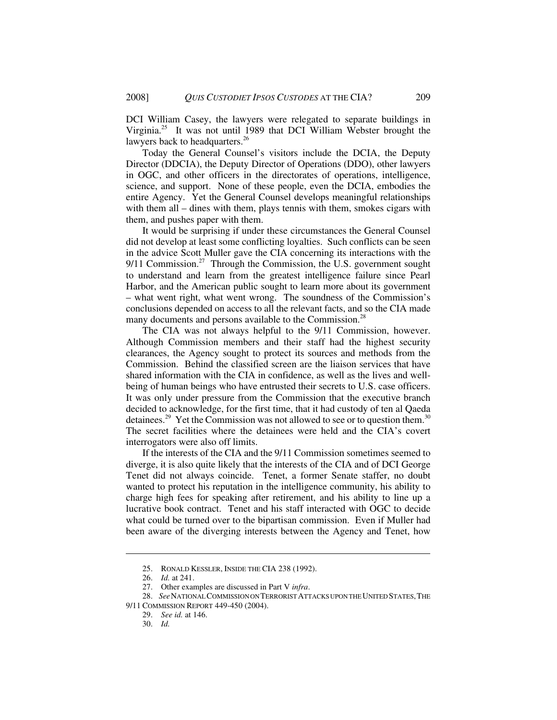DCI William Casey, the lawyers were relegated to separate buildings in Virginia.<sup>25</sup> It was not until 1989 that DCI William Webster brought the lawyers back to headquarters.<sup>26</sup>

Today the General Counsel's visitors include the DCIA, the Deputy Director (DDCIA), the Deputy Director of Operations (DDO), other lawyers in OGC, and other officers in the directorates of operations, intelligence, science, and support. None of these people, even the DCIA, embodies the entire Agency. Yet the General Counsel develops meaningful relationships with them all – dines with them, plays tennis with them, smokes cigars with them, and pushes paper with them.

It would be surprising if under these circumstances the General Counsel did not develop at least some conflicting loyalties. Such conflicts can be seen in the advice Scott Muller gave the CIA concerning its interactions with the  $9/11$  Commission.<sup>27</sup> Through the Commission, the U.S. government sought to understand and learn from the greatest intelligence failure since Pearl Harbor, and the American public sought to learn more about its government – what went right, what went wrong. The soundness of the Commission's conclusions depended on access to all the relevant facts, and so the CIA made many documents and persons available to the Commission.<sup>28</sup>

The CIA was not always helpful to the 9/11 Commission, however. Although Commission members and their staff had the highest security clearances, the Agency sought to protect its sources and methods from the Commission. Behind the classified screen are the liaison services that have shared information with the CIA in confidence, as well as the lives and wellbeing of human beings who have entrusted their secrets to U.S. case officers. It was only under pressure from the Commission that the executive branch decided to acknowledge, for the first time, that it had custody of ten al Qaeda detainees.<sup>29</sup> Yet the Commission was not allowed to see or to question them.<sup>30</sup> The secret facilities where the detainees were held and the CIA's covert interrogators were also off limits.

If the interests of the CIA and the 9/11 Commission sometimes seemed to diverge, it is also quite likely that the interests of the CIA and of DCI George Tenet did not always coincide. Tenet, a former Senate staffer, no doubt wanted to protect his reputation in the intelligence community, his ability to charge high fees for speaking after retirement, and his ability to line up a lucrative book contract. Tenet and his staff interacted with OGC to decide what could be turned over to the bipartisan commission. Even if Muller had been aware of the diverging interests between the Agency and Tenet, how

<sup>25.</sup> RONALD KESSLER, INSIDE THE CIA 238 (1992).

<sup>26.</sup> *Id.* at 241.

<sup>27.</sup> Other examples are discussed in Part V *infra*.

<sup>28.</sup> *See*NATIONAL COMMISSION ON TERRORIST ATTACKS UPON THE UNITED STATES,THE

<sup>9/11</sup> COMMISSION REPORT 449-450 (2004).

<sup>29.</sup> *See id.* at 146.

<sup>30.</sup> *Id.*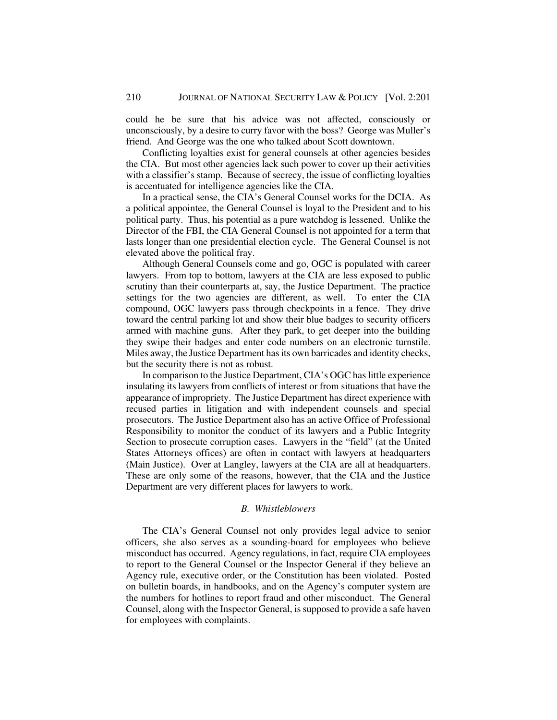could he be sure that his advice was not affected, consciously or unconsciously, by a desire to curry favor with the boss? George was Muller's friend. And George was the one who talked about Scott downtown.

Conflicting loyalties exist for general counsels at other agencies besides the CIA. But most other agencies lack such power to cover up their activities with a classifier's stamp. Because of secrecy, the issue of conflicting loyalties is accentuated for intelligence agencies like the CIA.

In a practical sense, the CIA's General Counsel works for the DCIA. As a political appointee, the General Counsel is loyal to the President and to his political party. Thus, his potential as a pure watchdog is lessened. Unlike the Director of the FBI, the CIA General Counsel is not appointed for a term that lasts longer than one presidential election cycle. The General Counsel is not elevated above the political fray.

Although General Counsels come and go, OGC is populated with career lawyers. From top to bottom, lawyers at the CIA are less exposed to public scrutiny than their counterparts at, say, the Justice Department. The practice settings for the two agencies are different, as well. To enter the CIA compound, OGC lawyers pass through checkpoints in a fence. They drive toward the central parking lot and show their blue badges to security officers armed with machine guns. After they park, to get deeper into the building they swipe their badges and enter code numbers on an electronic turnstile. Miles away, the Justice Department has its own barricades and identity checks, but the security there is not as robust.

In comparison to the Justice Department, CIA's OGC has little experience insulating its lawyers from conflicts of interest or from situations that have the appearance of impropriety. The Justice Department has direct experience with recused parties in litigation and with independent counsels and special prosecutors. The Justice Department also has an active Office of Professional Responsibility to monitor the conduct of its lawyers and a Public Integrity Section to prosecute corruption cases. Lawyers in the "field" (at the United States Attorneys offices) are often in contact with lawyers at headquarters (Main Justice). Over at Langley, lawyers at the CIA are all at headquarters. These are only some of the reasons, however, that the CIA and the Justice Department are very different places for lawyers to work.

### *B. Whistleblowers*

The CIA's General Counsel not only provides legal advice to senior officers, she also serves as a sounding-board for employees who believe misconduct has occurred. Agency regulations, in fact, require CIA employees to report to the General Counsel or the Inspector General if they believe an Agency rule, executive order, or the Constitution has been violated. Posted on bulletin boards, in handbooks, and on the Agency's computer system are the numbers for hotlines to report fraud and other misconduct. The General Counsel, along with the Inspector General, is supposed to provide a safe haven for employees with complaints.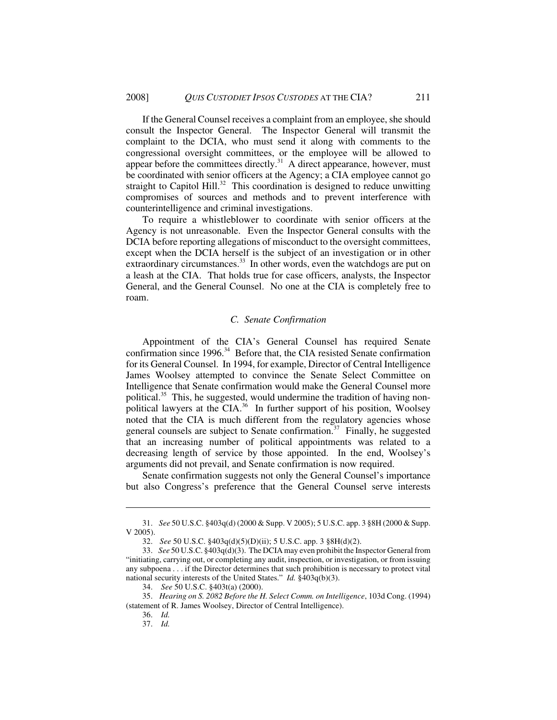If the General Counsel receives a complaint from an employee, she should consult the Inspector General. The Inspector General will transmit the complaint to the DCIA, who must send it along with comments to the congressional oversight committees, or the employee will be allowed to appear before the committees directly.<sup>31</sup> A direct appearance, however, must be coordinated with senior officers at the Agency; a CIA employee cannot go straight to Capitol Hill.<sup>32</sup> This coordination is designed to reduce unwitting compromises of sources and methods and to prevent interference with counterintelligence and criminal investigations.

 To require a whistleblower to coordinate with senior officers at the Agency is not unreasonable. Even the Inspector General consults with the DCIA before reporting allegations of misconduct to the oversight committees, except when the DCIA herself is the subject of an investigation or in other extraordinary circumstances.<sup>33</sup> In other words, even the watchdogs are put on a leash at the CIA. That holds true for case officers, analysts, the Inspector General, and the General Counsel. No one at the CIA is completely free to roam.

#### *C. Senate Confirmation*

Appointment of the CIA's General Counsel has required Senate confirmation since  $1996$ <sup>34</sup> Before that, the CIA resisted Senate confirmation for its General Counsel. In 1994, for example, Director of Central Intelligence James Woolsey attempted to convince the Senate Select Committee on Intelligence that Senate confirmation would make the General Counsel more political.<sup>35</sup> This, he suggested, would undermine the tradition of having nonpolitical lawyers at the CIA.<sup>36</sup> In further support of his position, Woolsey noted that the CIA is much different from the regulatory agencies whose general counsels are subject to Senate confirmation.<sup>37</sup> Finally, he suggested that an increasing number of political appointments was related to a decreasing length of service by those appointed. In the end, Woolsey's arguments did not prevail, and Senate confirmation is now required.

Senate confirmation suggests not only the General Counsel's importance but also Congress's preference that the General Counsel serve interests

36. *Id.*

<sup>31.</sup> *See* 50 U.S.C. §403q(d) (2000 & Supp. V 2005); 5 U.S.C. app. 3 §8H (2000 & Supp. V 2005).

<sup>32.</sup> *See* 50 U.S.C. §403q(d)(5)(D)(ii); 5 U.S.C. app. 3 §8H(d)(2).

<sup>33.</sup> *See* 50 U.S.C. §403q(d)(3). The DCIA may even prohibit the Inspector General from "initiating, carrying out, or completing any audit, inspection, or investigation, or from issuing any subpoena . . . if the Director determines that such prohibition is necessary to protect vital national security interests of the United States." *Id.* §403q(b)(3).

<sup>34.</sup> *See* 50 U.S.C. §403t(a) (2000).

<sup>35.</sup> *Hearing on S. 2082 Before the H. Select Comm. on Intelligence*, 103d Cong. (1994) (statement of R. James Woolsey, Director of Central Intelligence).

<sup>37.</sup> *Id.*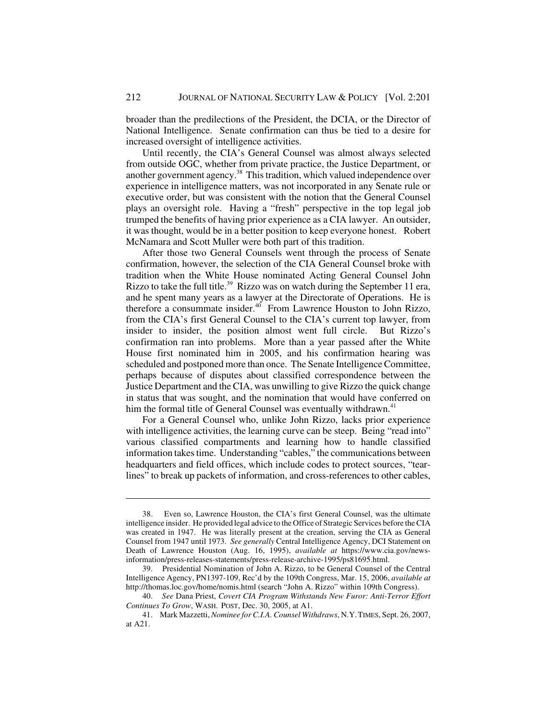broader than the predilections of the President, the DCIA, or the Director of National Intelligence. Senate confirmation can thus be tied to a desire for increased oversight of intelligence activities.

Until recently, the CIA's General Counsel was almost always selected from outside OGC, whether from private practice, the Justice Department, or another government agency.<sup>38</sup> This tradition, which valued independence over experience in intelligence matters, was not incorporated in any Senate rule or executive order, but was consistent with the notion that the General Counsel plays an oversight role. Having a "fresh" perspective in the top legal job trumped the benefits of having prior experience as a CIA lawyer. An outsider, it was thought, would be in a better position to keep everyone honest. Robert McNamara and Scott Muller were both part of this tradition.

After those two General Counsels went through the process of Senate confirmation, however, the selection of the CIA General Counsel broke with tradition when the White House nominated Acting General Counsel John Rizzo to take the full title.<sup>39</sup> Rizzo was on watch during the September 11 era, and he spent many years as a lawyer at the Directorate of Operations. He is therefore a consummate insider. $40$  From Lawrence Houston to John Rizzo, from the CIA's first General Counsel to the CIA's current top lawyer, from insider to insider, the position almost went full circle. But Rizzo's confirmation ran into problems. More than a year passed after the White House first nominated him in 2005, and his confirmation hearing was scheduled and postponed more than once. The Senate Intelligence Committee, perhaps because of disputes about classified correspondence between the Justice Department and the CIA, was unwilling to give Rizzo the quick change in status that was sought, and the nomination that would have conferred on him the formal title of General Counsel was eventually withdrawn.<sup>41</sup>

For a General Counsel who, unlike John Rizzo, lacks prior experience with intelligence activities, the learning curve can be steep. Being "read into" various classified compartments and learning how to handle classified information takes time. Understanding "cables," the communications between headquarters and field offices, which include codes to protect sources, "tearlines" to break up packets of information, and cross-references to other cables,

<sup>38.</sup> Even so, Lawrence Houston, the CIA's first General Counsel, was the ultimate intelligence insider. He provided legal advice to the Office of Strategic Services before the CIA was created in 1947. He was literally present at the creation, serving the CIA as General Counsel from 1947 until 1973. *See generally* Central Intelligence Agency, DCI Statement on Death of Lawrence Houston (Aug. 16, 1995), *available at* https://www.cia.gov/newsinformation/press-releases-statements/press-release-archive-1995/ps81695.html.

<sup>39.</sup> Presidential Nomination of John A. Rizzo, to be General Counsel of the Central Intelligence Agency, PN1397-109, Rec'd by the 109th Congress, Mar. 15, 2006, *available at* http://thomas.loc.gov/home/nomis.html (search "John A. Rizzo" within 109th Congress).

<sup>40.</sup> *See* Dana Priest, *Covert CIA Program Withstands New Furor: Anti-Terror Effort Continues To Grow*, WASH. POST, Dec. 30, 2005, at A1.

<sup>41.</sup> Mark Mazzetti, *Nominee for C.I.A. Counsel Withdraws*, N.Y.TIMES, Sept. 26, 2007, at A21.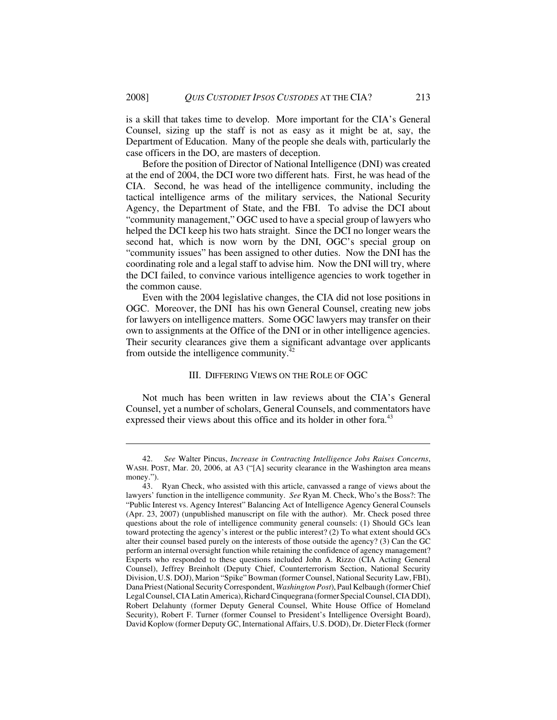is a skill that takes time to develop. More important for the CIA's General Counsel, sizing up the staff is not as easy as it might be at, say, the Department of Education. Many of the people she deals with, particularly the case officers in the DO, are masters of deception.

Before the position of Director of National Intelligence (DNI) was created at the end of 2004, the DCI wore two different hats. First, he was head of the CIA. Second, he was head of the intelligence community, including the tactical intelligence arms of the military services, the National Security Agency, the Department of State, and the FBI. To advise the DCI about "community management," OGC used to have a special group of lawyers who helped the DCI keep his two hats straight. Since the DCI no longer wears the second hat, which is now worn by the DNI, OGC's special group on "community issues" has been assigned to other duties. Now the DNI has the coordinating role and a legal staff to advise him. Now the DNI will try, where the DCI failed, to convince various intelligence agencies to work together in the common cause.

Even with the 2004 legislative changes, the CIA did not lose positions in OGC. Moreover, the DNI has his own General Counsel, creating new jobs for lawyers on intelligence matters. Some OGC lawyers may transfer on their own to assignments at the Office of the DNI or in other intelligence agencies. Their security clearances give them a significant advantage over applicants from outside the intelligence community. $42$ 

### III. DIFFERING VIEWS ON THE ROLE OF OGC

Not much has been written in law reviews about the CIA's General Counsel, yet a number of scholars, General Counsels, and commentators have expressed their views about this office and its holder in other fora.<sup>43</sup>

<sup>42.</sup> *See* Walter Pincus, *Increase in Contracting Intelligence Jobs Raises Concerns*, WASH. POST, Mar. 20, 2006, at A3 ("[A] security clearance in the Washington area means money.").

<sup>43.</sup> Ryan Check, who assisted with this article, canvassed a range of views about the lawyers' function in the intelligence community. *See* Ryan M. Check, Who's the Boss?: The "Public Interest vs. Agency Interest" Balancing Act of Intelligence Agency General Counsels (Apr. 23, 2007) (unpublished manuscript on file with the author). Mr. Check posed three questions about the role of intelligence community general counsels: (1) Should GCs lean toward protecting the agency's interest or the public interest? (2) To what extent should GCs alter their counsel based purely on the interests of those outside the agency? (3) Can the GC perform an internal oversight function while retaining the confidence of agency management? Experts who responded to these questions included John A. Rizzo (CIA Acting General Counsel), Jeffrey Breinholt (Deputy Chief, Counterterrorism Section, National Security Division, U.S. DOJ), Marion "Spike" Bowman (former Counsel, National Security Law, FBI), Dana Priest (National Security Correspondent, *Washington Post*), Paul Kelbaugh (former Chief Legal Counsel, CIA Latin America), Richard Cinquegrana (former Special Counsel, CIA DDI), Robert Delahunty (former Deputy General Counsel, White House Office of Homeland Security), Robert F. Turner (former Counsel to President's Intelligence Oversight Board), David Koplow (former Deputy GC, International Affairs, U.S. DOD), Dr. Dieter Fleck (former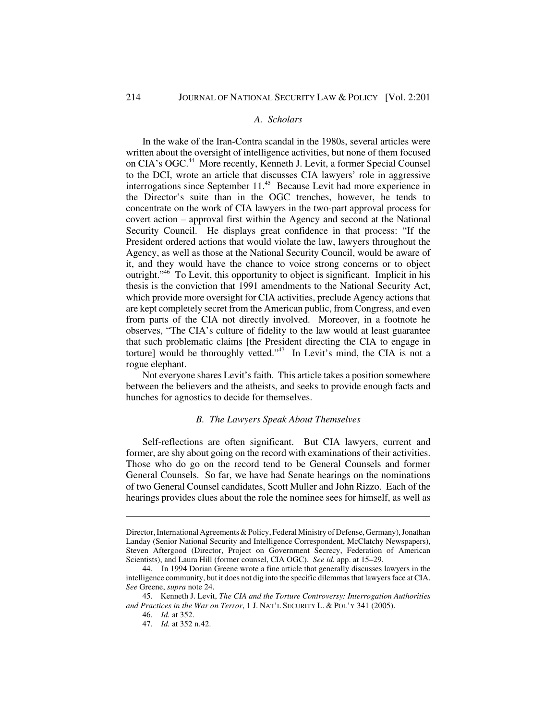### *A. Scholars*

In the wake of the Iran-Contra scandal in the 1980s, several articles were written about the oversight of intelligence activities, but none of them focused on CIA's OGC.<sup>44</sup> More recently, Kenneth J. Levit, a former Special Counsel to the DCI, wrote an article that discusses CIA lawyers' role in aggressive interrogations since September 11.<sup>45</sup> Because Levit had more experience in the Director's suite than in the OGC trenches, however, he tends to concentrate on the work of CIA lawyers in the two-part approval process for covert action – approval first within the Agency and second at the National Security Council. He displays great confidence in that process: "If the President ordered actions that would violate the law, lawyers throughout the Agency, as well as those at the National Security Council, would be aware of it, and they would have the chance to voice strong concerns or to object outright."46 To Levit, this opportunity to object is significant. Implicit in his thesis is the conviction that 1991 amendments to the National Security Act, which provide more oversight for CIA activities, preclude Agency actions that are kept completely secret from the American public, from Congress, and even from parts of the CIA not directly involved. Moreover, in a footnote he observes, "The CIA's culture of fidelity to the law would at least guarantee that such problematic claims [the President directing the CIA to engage in torture] would be thoroughly vetted. $1/47$  In Levit's mind, the CIA is not a rogue elephant.

Not everyone shares Levit's faith. This article takes a position somewhere between the believers and the atheists, and seeks to provide enough facts and hunches for agnostics to decide for themselves.

#### *B. The Lawyers Speak About Themselves*

Self-reflections are often significant. But CIA lawyers, current and former, are shy about going on the record with examinations of their activities. Those who do go on the record tend to be General Counsels and former General Counsels. So far, we have had Senate hearings on the nominations of two General Counsel candidates, Scott Muller and John Rizzo. Each of the hearings provides clues about the role the nominee sees for himself, as well as

Director, International Agreements & Policy, Federal Ministry of Defense, Germany), Jonathan Landay (Senior National Security and Intelligence Correspondent, McClatchy Newspapers), Steven Aftergood (Director, Project on Government Secrecy, Federation of American Scientists), and Laura Hill (former counsel, CIA OGC). *See id.* app. at 15–29.

<sup>44.</sup> In 1994 Dorian Greene wrote a fine article that generally discusses lawyers in the intelligence community, but it does not dig into the specific dilemmas that lawyers face at CIA. *See* Greene, *supra* note 24.

<sup>45.</sup> Kenneth J. Levit, *The CIA and the Torture Controversy: Interrogation Authorities and Practices in the War on Terror*, 1 J. NAT'L SECURITY L. & POL'Y 341 (2005).

<sup>46.</sup> *Id.* at 352.

<sup>47.</sup> *Id.* at 352 n.42.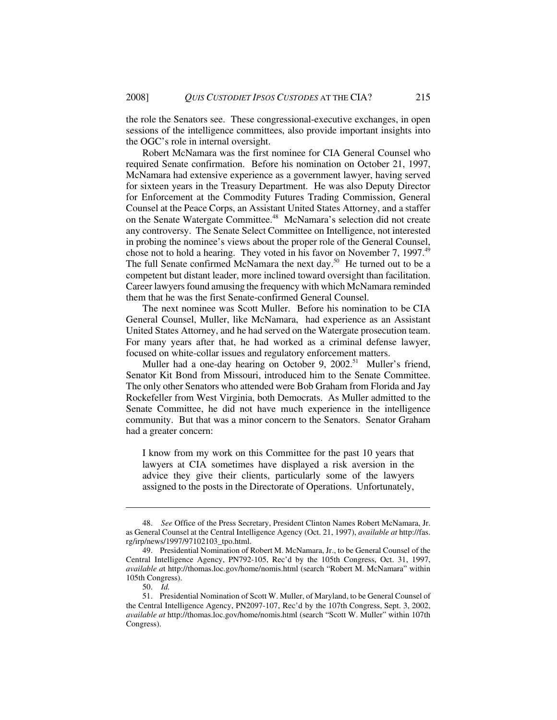the role the Senators see. These congressional-executive exchanges, in open sessions of the intelligence committees, also provide important insights into the OGC's role in internal oversight.

Robert McNamara was the first nominee for CIA General Counsel who required Senate confirmation. Before his nomination on October 21, 1997, McNamara had extensive experience as a government lawyer, having served for sixteen years in the Treasury Department. He was also Deputy Director for Enforcement at the Commodity Futures Trading Commission, General Counsel at the Peace Corps, an Assistant United States Attorney, and a staffer on the Senate Watergate Committee.<sup>48</sup> McNamara's selection did not create any controversy. The Senate Select Committee on Intelligence, not interested in probing the nominee's views about the proper role of the General Counsel, chose not to hold a hearing. They voted in his favor on November 7, 1997.<sup>49</sup> The full Senate confirmed McNamara the next day.<sup>50</sup> He turned out to be a competent but distant leader, more inclined toward oversight than facilitation. Career lawyers found amusing the frequency with which McNamara reminded them that he was the first Senate-confirmed General Counsel.

 The next nominee was Scott Muller. Before his nomination to be CIA General Counsel, Muller, like McNamara, had experience as an Assistant United States Attorney, and he had served on the Watergate prosecution team. For many years after that, he had worked as a criminal defense lawyer, focused on white-collar issues and regulatory enforcement matters.

Muller had a one-day hearing on October 9,  $2002$ <sup>51</sup> Muller's friend, Senator Kit Bond from Missouri, introduced him to the Senate Committee. The only other Senators who attended were Bob Graham from Florida and Jay Rockefeller from West Virginia, both Democrats. As Muller admitted to the Senate Committee, he did not have much experience in the intelligence community. But that was a minor concern to the Senators. Senator Graham had a greater concern:

I know from my work on this Committee for the past 10 years that lawyers at CIA sometimes have displayed a risk aversion in the advice they give their clients, particularly some of the lawyers assigned to the posts in the Directorate of Operations. Unfortunately,

<sup>48.</sup> *See* Office of the Press Secretary, President Clinton Names Robert McNamara, Jr. as General Counsel at the Central Intelligence Agency (Oct. 21, 1997), *available at* http://fas. rg/irp/news/1997/97102103\_tpo.html.

<sup>49.</sup> Presidential Nomination of Robert M. McNamara, Jr., to be General Counsel of the Central Intelligence Agency, PN792-105, Rec'd by the 105th Congress, Oct. 31, 1997, *available a*t http://thomas.loc.gov/home/nomis.html (search "Robert M. McNamara" within 105th Congress).

<sup>50.</sup> *Id.*

<sup>51.</sup> Presidential Nomination of Scott W. Muller, of Maryland, to be General Counsel of the Central Intelligence Agency, PN2097-107, Rec'd by the 107th Congress, Sept. 3, 2002, *available at* http://thomas.loc.gov/home/nomis.html (search "Scott W. Muller" within 107th Congress).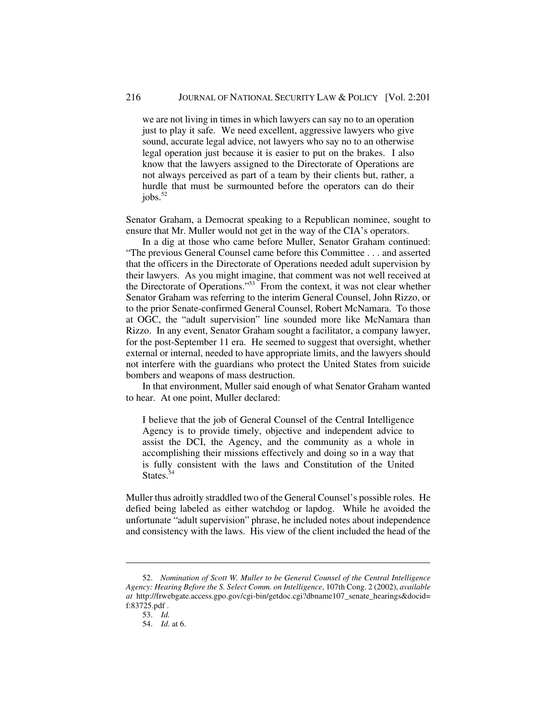we are not living in times in which lawyers can say no to an operation just to play it safe. We need excellent, aggressive lawyers who give sound, accurate legal advice, not lawyers who say no to an otherwise legal operation just because it is easier to put on the brakes. I also know that the lawyers assigned to the Directorate of Operations are not always perceived as part of a team by their clients but, rather, a hurdle that must be surmounted before the operators can do their jobs. $52$ 

Senator Graham, a Democrat speaking to a Republican nominee, sought to ensure that Mr. Muller would not get in the way of the CIA's operators.

In a dig at those who came before Muller, Senator Graham continued: "The previous General Counsel came before this Committee . . . and asserted that the officers in the Directorate of Operations needed adult supervision by their lawyers. As you might imagine, that comment was not well received at the Directorate of Operations."<sup>53</sup> From the context, it was not clear whether Senator Graham was referring to the interim General Counsel, John Rizzo, or to the prior Senate-confirmed General Counsel, Robert McNamara. To those at OGC, the "adult supervision" line sounded more like McNamara than Rizzo. In any event, Senator Graham sought a facilitator, a company lawyer, for the post-September 11 era. He seemed to suggest that oversight, whether external or internal, needed to have appropriate limits, and the lawyers should not interfere with the guardians who protect the United States from suicide bombers and weapons of mass destruction.

In that environment, Muller said enough of what Senator Graham wanted to hear. At one point, Muller declared:

I believe that the job of General Counsel of the Central Intelligence Agency is to provide timely, objective and independent advice to assist the DCI, the Agency, and the community as a whole in accomplishing their missions effectively and doing so in a way that is fully consistent with the laws and Constitution of the United States. $54$ 

Muller thus adroitly straddled two of the General Counsel's possible roles. He defied being labeled as either watchdog or lapdog. While he avoided the unfortunate "adult supervision" phrase, he included notes about independence and consistency with the laws. His view of the client included the head of the

<sup>52.</sup> *Nomination of Scott W. Muller to be General Counsel of the Central Intelligence Agency: Hearing Before the S. Select Comm. on Intelligence*, 107th Cong. 2 (2002), *available at* http://frwebgate.access.gpo.gov/cgi-bin/getdoc.cgi?dbname107\_senate\_hearings&docid= f:83725.pdf .

<sup>53.</sup> *Id.*

<sup>54.</sup> *Id.* at 6.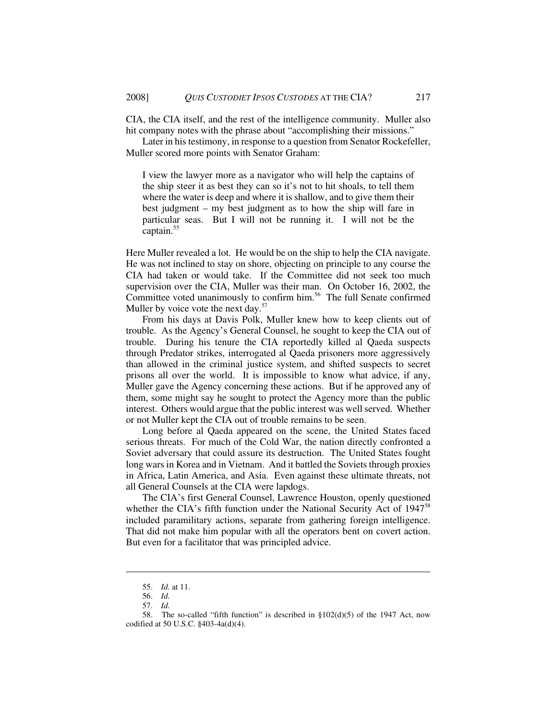CIA, the CIA itself, and the rest of the intelligence community. Muller also hit company notes with the phrase about "accomplishing their missions."

Later in his testimony, in response to a question from Senator Rockefeller, Muller scored more points with Senator Graham:

I view the lawyer more as a navigator who will help the captains of the ship steer it as best they can so it's not to hit shoals, to tell them where the water is deep and where it is shallow, and to give them their best judgment – my best judgment as to how the ship will fare in particular seas. But I will not be running it. I will not be the captain.<sup>55</sup>

Here Muller revealed a lot. He would be on the ship to help the CIA navigate. He was not inclined to stay on shore, objecting on principle to any course the CIA had taken or would take. If the Committee did not seek too much supervision over the CIA, Muller was their man. On October 16, 2002, the Committee voted unanimously to confirm him.<sup>56</sup> The full Senate confirmed Muller by voice vote the next day. $57$ 

From his days at Davis Polk, Muller knew how to keep clients out of trouble. As the Agency's General Counsel, he sought to keep the CIA out of trouble. During his tenure the CIA reportedly killed al Qaeda suspects through Predator strikes, interrogated al Qaeda prisoners more aggressively than allowed in the criminal justice system, and shifted suspects to secret prisons all over the world. It is impossible to know what advice, if any, Muller gave the Agency concerning these actions. But if he approved any of them, some might say he sought to protect the Agency more than the public interest. Others would argue that the public interest was well served. Whether or not Muller kept the CIA out of trouble remains to be seen.

 Long before al Qaeda appeared on the scene, the United States faced serious threats. For much of the Cold War, the nation directly confronted a Soviet adversary that could assure its destruction. The United States fought long wars in Korea and in Vietnam. And it battled the Soviets through proxies in Africa, Latin America, and Asia. Even against these ultimate threats, not all General Counsels at the CIA were lapdogs.

The CIA's first General Counsel, Lawrence Houston, openly questioned whether the CIA's fifth function under the National Security Act of  $1947^{58}$ included paramilitary actions, separate from gathering foreign intelligence. That did not make him popular with all the operators bent on covert action. But even for a facilitator that was principled advice.

<sup>55.</sup> *Id.* at 11.

<sup>56.</sup> *Id.*

<sup>57.</sup> *Id.*

<sup>58.</sup> The so-called "fifth function" is described in §102(d)(5) of the 1947 Act, now codified at 50 U.S.C. §403-4a(d)(4).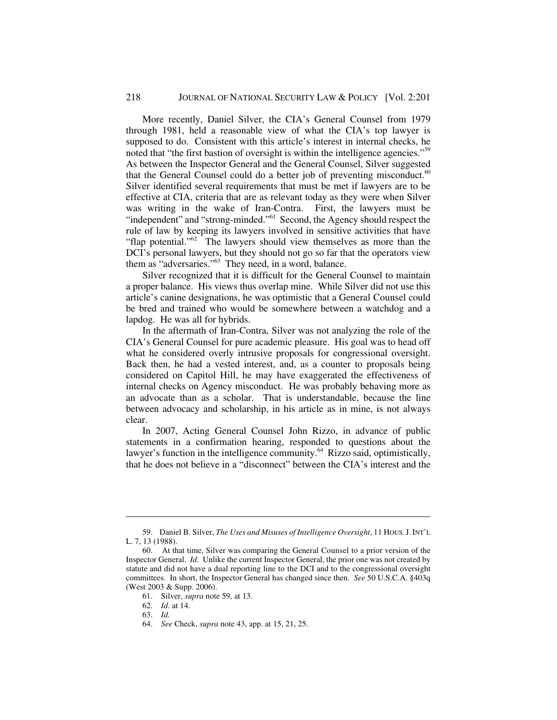More recently, Daniel Silver, the CIA's General Counsel from 1979 through 1981, held a reasonable view of what the CIA's top lawyer is supposed to do. Consistent with this article's interest in internal checks, he noted that "the first bastion of oversight is within the intelligence agencies."<sup>59</sup> As between the Inspector General and the General Counsel, Silver suggested that the General Counsel could do a better job of preventing misconduct.<sup>60</sup> Silver identified several requirements that must be met if lawyers are to be effective at CIA, criteria that are as relevant today as they were when Silver was writing in the wake of Iran-Contra. First, the lawyers must be "independent" and "strong-minded."<sup>61</sup> Second, the Agency should respect the rule of law by keeping its lawyers involved in sensitive activities that have "flap potential."<sup>62</sup> The lawyers should view themselves as more than the DCI's personal lawyers, but they should not go so far that the operators view them as "adversaries."<sup>63</sup> They need, in a word, balance.

Silver recognized that it is difficult for the General Counsel to maintain a proper balance. His views thus overlap mine. While Silver did not use this article's canine designations, he was optimistic that a General Counsel could be bred and trained who would be somewhere between a watchdog and a lapdog. He was all for hybrids.

In the aftermath of Iran-Contra, Silver was not analyzing the role of the CIA's General Counsel for pure academic pleasure. His goal was to head off what he considered overly intrusive proposals for congressional oversight. Back then, he had a vested interest, and, as a counter to proposals being considered on Capitol Hill, he may have exaggerated the effectiveness of internal checks on Agency misconduct. He was probably behaving more as an advocate than as a scholar. That is understandable, because the line between advocacy and scholarship, in his article as in mine, is not always clear.

In 2007, Acting General Counsel John Rizzo, in advance of public statements in a confirmation hearing, responded to questions about the lawyer's function in the intelligence community.<sup>64</sup> Rizzo said, optimistically, that he does not believe in a "disconnect" between the CIA's interest and the

<sup>59.</sup> Daniel B. Silver, *The Uses and Misuses of Intelligence Oversight*, 11 HOUS.J.INT'L L. 7, 13 (1988).

<sup>60.</sup> At that time, Silver was comparing the General Counsel to a prior version of the Inspector General. *Id.* Unlike the current Inspector General, the prior one was not created by statute and did not have a dual reporting line to the DCI and to the congressional oversight committees. In short, the Inspector General has changed since then. *See* 50 U.S.C.A. §403q (West 2003 & Supp. 2006).

<sup>61.</sup> Silver, *supra* note 59, at 13.

<sup>62.</sup> *Id.* at 14.

<sup>63.</sup> *Id.*

<sup>64.</sup> *See* Check, *supra* note 43, app. at 15, 21, 25.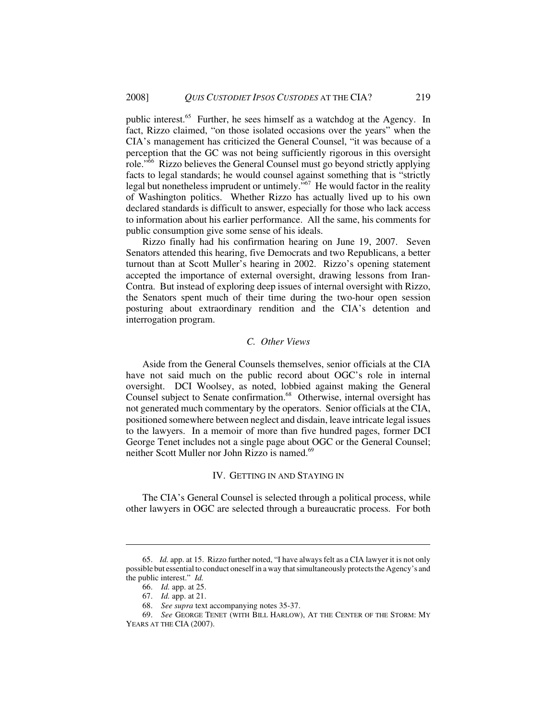public interest.<sup>65</sup> Further, he sees himself as a watchdog at the Agency. In fact, Rizzo claimed, "on those isolated occasions over the years" when the CIA's management has criticized the General Counsel, "it was because of a perception that the GC was not being sufficiently rigorous in this oversight role."<sup>66</sup> Rizzo believes the General Counsel must go beyond strictly applying facts to legal standards; he would counsel against something that is "strictly legal but nonetheless imprudent or untimely."<sup>67</sup> He would factor in the reality of Washington politics. Whether Rizzo has actually lived up to his own declared standards is difficult to answer, especially for those who lack access to information about his earlier performance. All the same, his comments for public consumption give some sense of his ideals.

Rizzo finally had his confirmation hearing on June 19, 2007. Seven Senators attended this hearing, five Democrats and two Republicans, a better turnout than at Scott Muller's hearing in 2002. Rizzo's opening statement accepted the importance of external oversight, drawing lessons from Iran-Contra. But instead of exploring deep issues of internal oversight with Rizzo, the Senators spent much of their time during the two-hour open session posturing about extraordinary rendition and the CIA's detention and interrogation program.

### *C. Other Views*

Aside from the General Counsels themselves, senior officials at the CIA have not said much on the public record about OGC's role in internal oversight. DCI Woolsey, as noted, lobbied against making the General Counsel subject to Senate confirmation.<sup>68</sup> Otherwise, internal oversight has not generated much commentary by the operators. Senior officials at the CIA, positioned somewhere between neglect and disdain, leave intricate legal issues to the lawyers. In a memoir of more than five hundred pages, former DCI George Tenet includes not a single page about OGC or the General Counsel; neither Scott Muller nor John Rizzo is named.<sup>69</sup>

# IV. GETTING IN AND STAYING IN

The CIA's General Counsel is selected through a political process, while other lawyers in OGC are selected through a bureaucratic process. For both

<sup>65.</sup> *Id.* app. at 15. Rizzo further noted, "I have always felt as a CIA lawyer it is not only possible but essential to conduct oneself in a way that simultaneously protects the Agency's and the public interest." *Id.*

<sup>66.</sup> *Id.* app. at 25.

<sup>67.</sup> *Id.* app. at 21.

<sup>68.</sup> *See supra* text accompanying notes 35-37.

<sup>69.</sup> *See* GEORGE TENET (WITH BILL HARLOW), AT THE CENTER OF THE STORM: MY YEARS AT THE CIA (2007).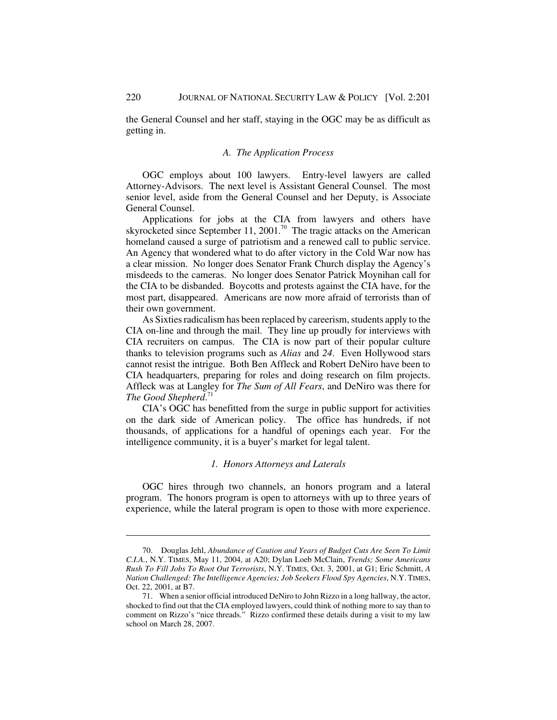the General Counsel and her staff, staying in the OGC may be as difficult as getting in.

#### *A. The Application Process*

OGC employs about 100 lawyers. Entry-level lawyers are called Attorney-Advisors. The next level is Assistant General Counsel. The most senior level, aside from the General Counsel and her Deputy, is Associate General Counsel.

Applications for jobs at the CIA from lawyers and others have skyrocketed since September 11, 2001.<sup>70</sup> The tragic attacks on the American homeland caused a surge of patriotism and a renewed call to public service. An Agency that wondered what to do after victory in the Cold War now has a clear mission. No longer does Senator Frank Church display the Agency's misdeeds to the cameras. No longer does Senator Patrick Moynihan call for the CIA to be disbanded. Boycotts and protests against the CIA have, for the most part, disappeared. Americans are now more afraid of terrorists than of their own government.

As Sixties radicalism has been replaced by careerism, students apply to the CIA on-line and through the mail. They line up proudly for interviews with CIA recruiters on campus. The CIA is now part of their popular culture thanks to television programs such as *Alias* and *24*. Even Hollywood stars cannot resist the intrigue. Both Ben Affleck and Robert DeNiro have been to CIA headquarters, preparing for roles and doing research on film projects. Affleck was at Langley for *The Sum of All Fears*, and DeNiro was there for *The Good Shepherd*. 71

CIA's OGC has benefitted from the surge in public support for activities on the dark side of American policy. The office has hundreds, if not thousands, of applications for a handful of openings each year. For the intelligence community, it is a buyer's market for legal talent.

### *1. Honors Attorneys and Laterals*

OGC hires through two channels, an honors program and a lateral program. The honors program is open to attorneys with up to three years of experience, while the lateral program is open to those with more experience.

<sup>70.</sup> Douglas Jehl, *Abundance of Caution and Years of Budget Cuts Are Seen To Limit C.I.A.*, N.Y. TIMES, May 11, 2004, at A20; Dylan Loeb McClain, *Trends; Some Americans Rush To Fill Jobs To Root Out Terrorists*, N.Y. TIMES, Oct. 3, 2001, at G1; Eric Schmitt, *A Nation Challenged: The Intelligence Agencies; Job Seekers Flood Spy Agencies*, N.Y. TIMES, Oct. 22, 2001, at B7.

<sup>71.</sup> When a senior official introduced DeNiro to John Rizzo in a long hallway, the actor, shocked to find out that the CIA employed lawyers, could think of nothing more to say than to comment on Rizzo's "nice threads." Rizzo confirmed these details during a visit to my law school on March 28, 2007.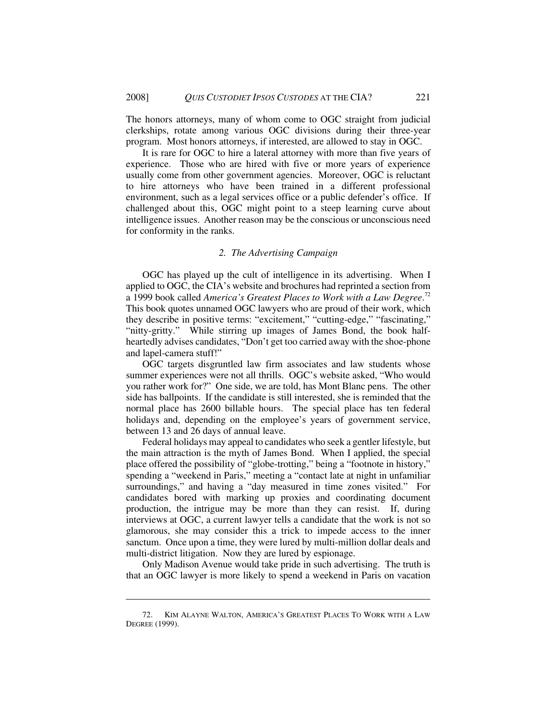The honors attorneys, many of whom come to OGC straight from judicial clerkships, rotate among various OGC divisions during their three-year program. Most honors attorneys, if interested, are allowed to stay in OGC.

It is rare for OGC to hire a lateral attorney with more than five years of experience. Those who are hired with five or more years of experience usually come from other government agencies. Moreover, OGC is reluctant to hire attorneys who have been trained in a different professional environment, such as a legal services office or a public defender's office. If challenged about this, OGC might point to a steep learning curve about intelligence issues. Another reason may be the conscious or unconscious need for conformity in the ranks.

# *2. The Advertising Campaign*

OGC has played up the cult of intelligence in its advertising. When I applied to OGC, the CIA's website and brochures had reprinted a section from a 1999 book called *America's Greatest Places to Work with a Law Degree*. 72 This book quotes unnamed OGC lawyers who are proud of their work, which they describe in positive terms: "excitement," "cutting-edge," "fascinating," "nitty-gritty." While stirring up images of James Bond, the book halfheartedly advises candidates, "Don't get too carried away with the shoe-phone and lapel-camera stuff!"

OGC targets disgruntled law firm associates and law students whose summer experiences were not all thrills. OGC's website asked, "Who would you rather work for?" One side, we are told, has Mont Blanc pens. The other side has ballpoints. If the candidate is still interested, she is reminded that the normal place has 2600 billable hours. The special place has ten federal holidays and, depending on the employee's years of government service, between 13 and 26 days of annual leave.

Federal holidays may appeal to candidates who seek a gentler lifestyle, but the main attraction is the myth of James Bond. When I applied, the special place offered the possibility of "globe-trotting," being a "footnote in history," spending a "weekend in Paris," meeting a "contact late at night in unfamiliar surroundings," and having a "day measured in time zones visited." For candidates bored with marking up proxies and coordinating document production, the intrigue may be more than they can resist. If, during interviews at OGC, a current lawyer tells a candidate that the work is not so glamorous, she may consider this a trick to impede access to the inner sanctum. Once upon a time, they were lured by multi-million dollar deals and multi-district litigation. Now they are lured by espionage.

Only Madison Avenue would take pride in such advertising. The truth is that an OGC lawyer is more likely to spend a weekend in Paris on vacation

<sup>72.</sup> KIM ALAYNE WALTON, AMERICA'S GREATEST PLACES TO WORK WITH A LAW DEGREE (1999).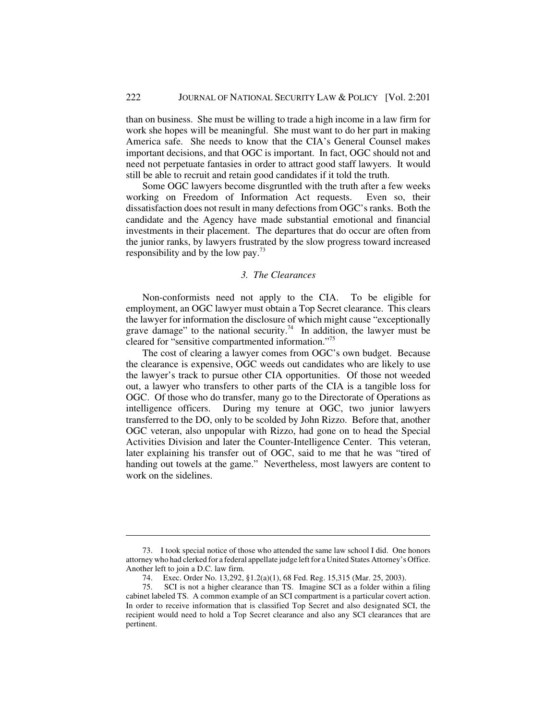than on business. She must be willing to trade a high income in a law firm for work she hopes will be meaningful. She must want to do her part in making America safe. She needs to know that the CIA's General Counsel makes important decisions, and that OGC is important. In fact, OGC should not and need not perpetuate fantasies in order to attract good staff lawyers. It would still be able to recruit and retain good candidates if it told the truth.

Some OGC lawyers become disgruntled with the truth after a few weeks working on Freedom of Information Act requests. Even so, their dissatisfaction does not result in many defections from OGC's ranks. Both the candidate and the Agency have made substantial emotional and financial investments in their placement. The departures that do occur are often from the junior ranks, by lawyers frustrated by the slow progress toward increased responsibility and by the low pay.<sup>73</sup>

### *3. The Clearances*

Non-conformists need not apply to the CIA. To be eligible for employment, an OGC lawyer must obtain a Top Secret clearance. This clears the lawyer for information the disclosure of which might cause "exceptionally grave damage" to the national security.<sup>74</sup> In addition, the lawyer must be cleared for "sensitive compartmented information."75

The cost of clearing a lawyer comes from OGC's own budget. Because the clearance is expensive, OGC weeds out candidates who are likely to use the lawyer's track to pursue other CIA opportunities. Of those not weeded out, a lawyer who transfers to other parts of the CIA is a tangible loss for OGC. Of those who do transfer, many go to the Directorate of Operations as intelligence officers. During my tenure at OGC, two junior lawyers transferred to the DO, only to be scolded by John Rizzo. Before that, another OGC veteran, also unpopular with Rizzo, had gone on to head the Special Activities Division and later the Counter-Intelligence Center. This veteran, later explaining his transfer out of OGC, said to me that he was "tired of handing out towels at the game." Nevertheless, most lawyers are content to work on the sidelines.

<sup>73.</sup> I took special notice of those who attended the same law school I did. One honors attorney who had clerked for a federal appellate judge left for a United States Attorney's Office. Another left to join a D.C. law firm.

<sup>74.</sup> Exec. Order No. 13,292, §1.2(a)(1), 68 Fed. Reg. 15,315 (Mar. 25, 2003).

<sup>75.</sup> SCI is not a higher clearance than TS. Imagine SCI as a folder within a filing cabinet labeled TS. A common example of an SCI compartment is a particular covert action. In order to receive information that is classified Top Secret and also designated SCI, the recipient would need to hold a Top Secret clearance and also any SCI clearances that are pertinent.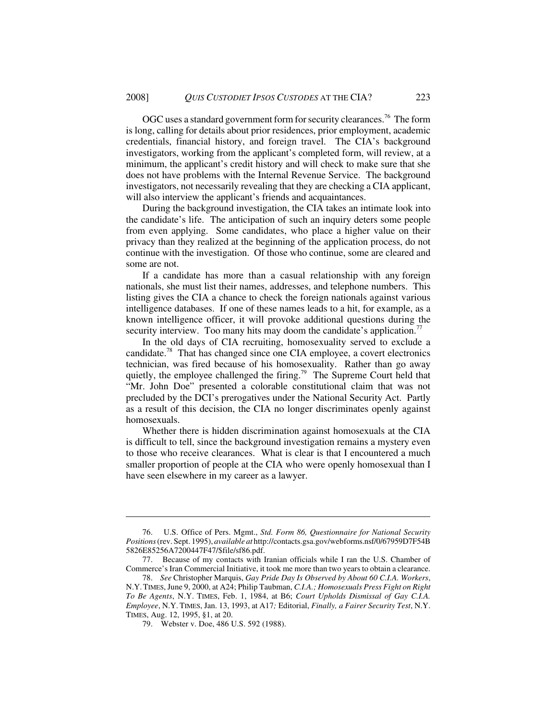OGC uses a standard government form for security clearances.<sup>76</sup> The form is long, calling for details about prior residences, prior employment, academic credentials, financial history, and foreign travel. The CIA's background investigators, working from the applicant's completed form, will review, at a minimum, the applicant's credit history and will check to make sure that she does not have problems with the Internal Revenue Service. The background investigators, not necessarily revealing that they are checking a CIA applicant, will also interview the applicant's friends and acquaintances.

During the background investigation, the CIA takes an intimate look into the candidate's life. The anticipation of such an inquiry deters some people from even applying. Some candidates, who place a higher value on their privacy than they realized at the beginning of the application process, do not continue with the investigation. Of those who continue, some are cleared and some are not.

 If a candidate has more than a casual relationship with any foreign nationals, she must list their names, addresses, and telephone numbers. This listing gives the CIA a chance to check the foreign nationals against various intelligence databases. If one of these names leads to a hit, for example, as a known intelligence officer, it will provoke additional questions during the security interview. Too many hits may doom the candidate's application.<sup>77</sup>

In the old days of CIA recruiting, homosexuality served to exclude a candidate.78 That has changed since one CIA employee, a covert electronics technician, was fired because of his homosexuality. Rather than go away quietly, the employee challenged the firing.<sup>79</sup> The Supreme Court held that "Mr. John Doe" presented a colorable constitutional claim that was not precluded by the DCI's prerogatives under the National Security Act. Partly as a result of this decision, the CIA no longer discriminates openly against homosexuals.

Whether there is hidden discrimination against homosexuals at the CIA is difficult to tell, since the background investigation remains a mystery even to those who receive clearances. What is clear is that I encountered a much smaller proportion of people at the CIA who were openly homosexual than I have seen elsewhere in my career as a lawyer.

<sup>76.</sup> U.S. Office of Pers. Mgmt., *Std. Form 86, Questionnaire for National Security Positions* (rev. Sept. 1995), *available at* http://contacts.gsa.gov/webforms.nsf/0/67959D7F54B 5826E85256A7200447F47/\$file/sf86.pdf.

<sup>77.</sup> Because of my contacts with Iranian officials while I ran the U.S. Chamber of Commerce's Iran Commercial Initiative, it took me more than two years to obtain a clearance.

<sup>78.</sup> *See* Christopher Marquis, *Gay Pride Day Is Observed by About 60 C.I.A. Workers*, N.Y.TIMES, June 9, 2000, at A24; Philip Taubman, *C.I.A.; Homosexuals Press Fight on Right To Be Agents*, N.Y. TIMES, Feb. 1, 1984, at B6; *Court Upholds Dismissal of Gay C.I.A. Employee*, N.Y. TIMES, Jan. 13, 1993, at A17*;* Editorial, *Finally, a Fairer Security Test*, N.Y. TIMES, Aug. 12, 1995, §1, at 20.

<sup>79.</sup> Webster v. Doe, 486 U.S. 592 (1988).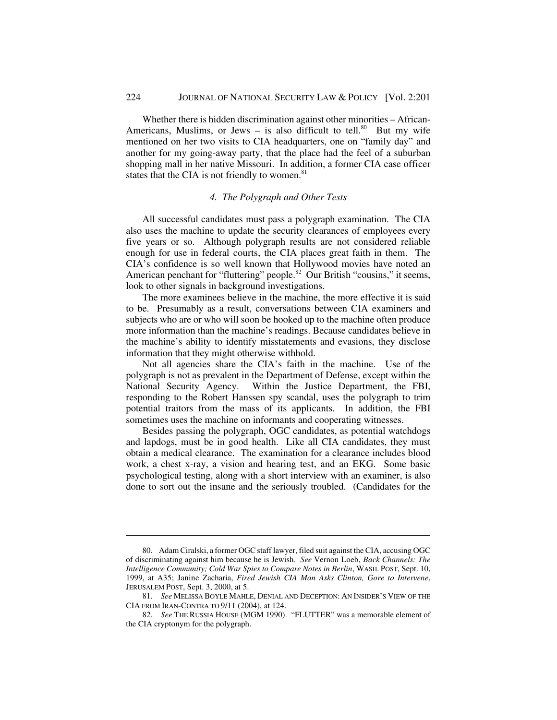Whether there is hidden discrimination against other minorities – African-Americans, Muslims, or Jews – is also difficult to tell.<sup>80</sup> But my wife mentioned on her two visits to CIA headquarters, one on "family day" and another for my going-away party, that the place had the feel of a suburban shopping mall in her native Missouri. In addition, a former CIA case officer states that the CIA is not friendly to women. $81$ 

### *4. The Polygraph and Other Tests*

All successful candidates must pass a polygraph examination. The CIA also uses the machine to update the security clearances of employees every five years or so. Although polygraph results are not considered reliable enough for use in federal courts, the CIA places great faith in them. The CIA's confidence is so well known that Hollywood movies have noted an American penchant for "fluttering" people.<sup>82</sup> Our British "cousins," it seems, look to other signals in background investigations.

The more examinees believe in the machine, the more effective it is said to be. Presumably as a result, conversations between CIA examiners and subjects who are or who will soon be hooked up to the machine often produce more information than the machine's readings. Because candidates believe in the machine's ability to identify misstatements and evasions, they disclose information that they might otherwise withhold.

Not all agencies share the CIA's faith in the machine. Use of the polygraph is not as prevalent in the Department of Defense, except within the National Security Agency. Within the Justice Department, the FBI, responding to the Robert Hanssen spy scandal, uses the polygraph to trim potential traitors from the mass of its applicants. In addition, the FBI sometimes uses the machine on informants and cooperating witnesses.

Besides passing the polygraph, OGC candidates, as potential watchdogs and lapdogs, must be in good health. Like all CIA candidates, they must obtain a medical clearance. The examination for a clearance includes blood work, a chest x-ray, a vision and hearing test, and an EKG. Some basic psychological testing, along with a short interview with an examiner, is also done to sort out the insane and the seriously troubled. (Candidates for the

<sup>80.</sup> Adam Ciralski, a former OGC staff lawyer, filed suit against the CIA, accusing OGC of discriminating against him because he is Jewish. *See* Vernon Loeb, *Back Channels: The Intelligence Community; Cold War Spies to Compare Notes in Berlin*, WASH. POST, Sept. 10, 1999, at A35; Janine Zacharia, *Fired Jewish CIA Man Asks Clinton, Gore to Intervene*, JERUSALEM POST, Sept. 3, 2000, at 5.

<sup>81.</sup> *See* MELISSA BOYLE MAHLE, DENIAL AND DECEPTION: AN INSIDER'S VIEW OF THE CIA FROM IRAN-CONTRA TO 9/11 (2004), at 124.

<sup>82.</sup> *See* THE RUSSIA HOUSE (MGM 1990). "FLUTTER" was a memorable element of the CIA cryptonym for the polygraph.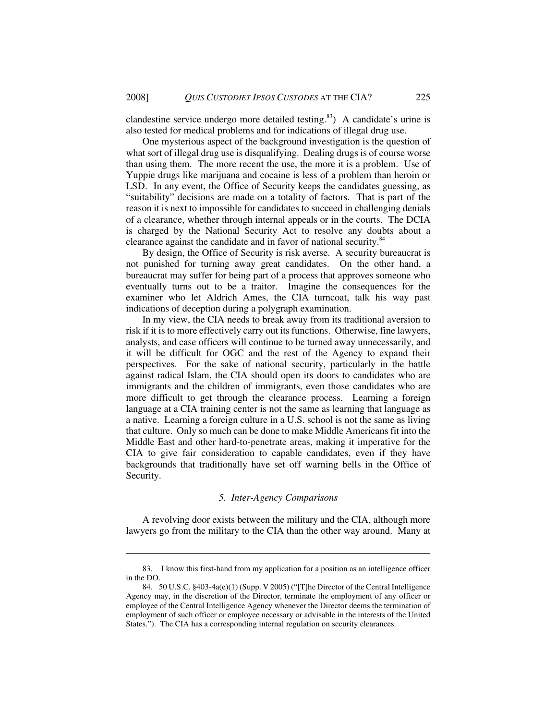clandestine service undergo more detailed testing.<sup>83</sup>) A candidate's urine is also tested for medical problems and for indications of illegal drug use.

One mysterious aspect of the background investigation is the question of what sort of illegal drug use is disqualifying. Dealing drugs is of course worse than using them. The more recent the use, the more it is a problem. Use of Yuppie drugs like marijuana and cocaine is less of a problem than heroin or LSD. In any event, the Office of Security keeps the candidates guessing, as "suitability" decisions are made on a totality of factors. That is part of the reason it is next to impossible for candidates to succeed in challenging denials of a clearance, whether through internal appeals or in the courts. The DCIA is charged by the National Security Act to resolve any doubts about a clearance against the candidate and in favor of national security.<sup>84</sup>

By design, the Office of Security is risk averse. A security bureaucrat is not punished for turning away great candidates. On the other hand, a bureaucrat may suffer for being part of a process that approves someone who eventually turns out to be a traitor. Imagine the consequences for the examiner who let Aldrich Ames, the CIA turncoat, talk his way past indications of deception during a polygraph examination.

In my view, the CIA needs to break away from its traditional aversion to risk if it is to more effectively carry out its functions. Otherwise, fine lawyers, analysts, and case officers will continue to be turned away unnecessarily, and it will be difficult for OGC and the rest of the Agency to expand their perspectives. For the sake of national security, particularly in the battle against radical Islam, the CIA should open its doors to candidates who are immigrants and the children of immigrants, even those candidates who are more difficult to get through the clearance process. Learning a foreign language at a CIA training center is not the same as learning that language as a native. Learning a foreign culture in a U.S. school is not the same as living that culture. Only so much can be done to make Middle Americans fit into the Middle East and other hard-to-penetrate areas, making it imperative for the CIA to give fair consideration to capable candidates, even if they have backgrounds that traditionally have set off warning bells in the Office of Security.

#### *5. Inter-Agency Comparisons*

A revolving door exists between the military and the CIA, although more lawyers go from the military to the CIA than the other way around. Many at

<sup>83.</sup> I know this first-hand from my application for a position as an intelligence officer in the DO.

<sup>84. 50</sup> U.S.C. §403-4a(e)(1) (Supp. V 2005) ("[T]he Director of the Central Intelligence Agency may, in the discretion of the Director, terminate the employment of any officer or employee of the Central Intelligence Agency whenever the Director deems the termination of employment of such officer or employee necessary or advisable in the interests of the United States."). The CIA has a corresponding internal regulation on security clearances.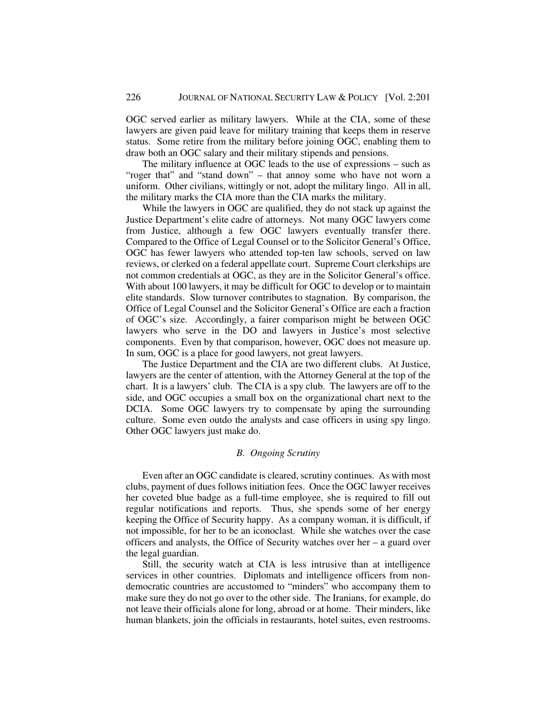OGC served earlier as military lawyers. While at the CIA, some of these lawyers are given paid leave for military training that keeps them in reserve status. Some retire from the military before joining OGC, enabling them to draw both an OGC salary and their military stipends and pensions.

The military influence at OGC leads to the use of expressions – such as "roger that" and "stand down" – that annoy some who have not worn a uniform. Other civilians, wittingly or not, adopt the military lingo. All in all, the military marks the CIA more than the CIA marks the military.

While the lawyers in OGC are qualified, they do not stack up against the Justice Department's elite cadre of attorneys. Not many OGC lawyers come from Justice, although a few OGC lawyers eventually transfer there. Compared to the Office of Legal Counsel or to the Solicitor General's Office, OGC has fewer lawyers who attended top-ten law schools, served on law reviews, or clerked on a federal appellate court. Supreme Court clerkships are not common credentials at OGC, as they are in the Solicitor General's office. With about 100 lawyers, it may be difficult for OGC to develop or to maintain elite standards. Slow turnover contributes to stagnation. By comparison, the Office of Legal Counsel and the Solicitor General's Office are each a fraction of OGC's size. Accordingly, a fairer comparison might be between OGC lawyers who serve in the DO and lawyers in Justice's most selective components. Even by that comparison, however, OGC does not measure up. In sum, OGC is a place for good lawyers, not great lawyers.

The Justice Department and the CIA are two different clubs. At Justice, lawyers are the center of attention, with the Attorney General at the top of the chart. It is a lawyers' club. The CIA is a spy club. The lawyers are off to the side, and OGC occupies a small box on the organizational chart next to the DCIA. Some OGC lawyers try to compensate by aping the surrounding culture. Some even outdo the analysts and case officers in using spy lingo. Other OGC lawyers just make do.

# *B. Ongoing Scrutiny*

Even after an OGC candidate is cleared, scrutiny continues. As with most clubs, payment of dues follows initiation fees. Once the OGC lawyer receives her coveted blue badge as a full-time employee, she is required to fill out regular notifications and reports. Thus, she spends some of her energy keeping the Office of Security happy. As a company woman, it is difficult, if not impossible, for her to be an iconoclast. While she watches over the case officers and analysts, the Office of Security watches over her – a guard over the legal guardian.

Still, the security watch at CIA is less intrusive than at intelligence services in other countries. Diplomats and intelligence officers from nondemocratic countries are accustomed to "minders" who accompany them to make sure they do not go over to the other side. The Iranians, for example, do not leave their officials alone for long, abroad or at home. Their minders, like human blankets, join the officials in restaurants, hotel suites, even restrooms.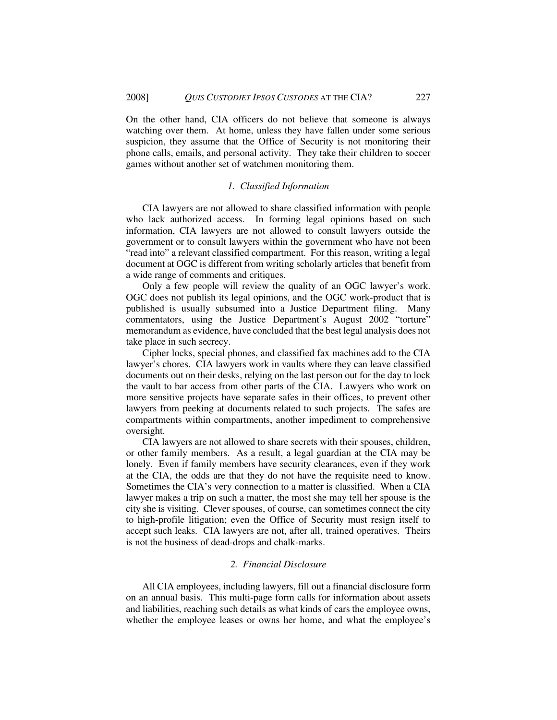On the other hand, CIA officers do not believe that someone is always watching over them. At home, unless they have fallen under some serious suspicion, they assume that the Office of Security is not monitoring their phone calls, emails, and personal activity. They take their children to soccer games without another set of watchmen monitoring them.

### *1. Classified Information*

CIA lawyers are not allowed to share classified information with people who lack authorized access. In forming legal opinions based on such information, CIA lawyers are not allowed to consult lawyers outside the government or to consult lawyers within the government who have not been "read into" a relevant classified compartment. For this reason, writing a legal document at OGC is different from writing scholarly articles that benefit from a wide range of comments and critiques.

Only a few people will review the quality of an OGC lawyer's work. OGC does not publish its legal opinions, and the OGC work-product that is published is usually subsumed into a Justice Department filing. Many commentators, using the Justice Department's August 2002 "torture" memorandum as evidence, have concluded that the best legal analysis does not take place in such secrecy.

Cipher locks, special phones, and classified fax machines add to the CIA lawyer's chores. CIA lawyers work in vaults where they can leave classified documents out on their desks, relying on the last person out for the day to lock the vault to bar access from other parts of the CIA. Lawyers who work on more sensitive projects have separate safes in their offices, to prevent other lawyers from peeking at documents related to such projects. The safes are compartments within compartments, another impediment to comprehensive oversight.

CIA lawyers are not allowed to share secrets with their spouses, children, or other family members. As a result, a legal guardian at the CIA may be lonely. Even if family members have security clearances, even if they work at the CIA, the odds are that they do not have the requisite need to know. Sometimes the CIA's very connection to a matter is classified. When a CIA lawyer makes a trip on such a matter, the most she may tell her spouse is the city she is visiting. Clever spouses, of course, can sometimes connect the city to high-profile litigation; even the Office of Security must resign itself to accept such leaks. CIA lawyers are not, after all, trained operatives. Theirs is not the business of dead-drops and chalk-marks.

#### *2. Financial Disclosure*

All CIA employees, including lawyers, fill out a financial disclosure form on an annual basis. This multi-page form calls for information about assets and liabilities, reaching such details as what kinds of cars the employee owns, whether the employee leases or owns her home, and what the employee's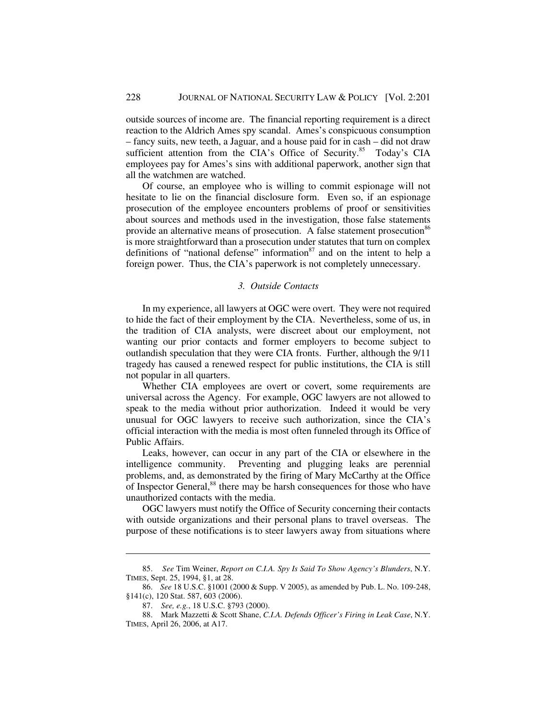outside sources of income are. The financial reporting requirement is a direct reaction to the Aldrich Ames spy scandal. Ames's conspicuous consumption – fancy suits, new teeth, a Jaguar, and a house paid for in cash – did not draw sufficient attention from the CIA's Office of Security.<sup>85</sup> Today's CIA employees pay for Ames's sins with additional paperwork, another sign that all the watchmen are watched.

Of course, an employee who is willing to commit espionage will not hesitate to lie on the financial disclosure form. Even so, if an espionage prosecution of the employee encounters problems of proof or sensitivities about sources and methods used in the investigation, those false statements provide an alternative means of prosecution. A false statement prosecution<sup>86</sup> is more straightforward than a prosecution under statutes that turn on complex definitions of "national defense" information  $\frac{87}{3}$  and on the intent to help a foreign power. Thus, the CIA's paperwork is not completely unnecessary.

### *3. Outside Contacts*

In my experience, all lawyers at OGC were overt. They were not required to hide the fact of their employment by the CIA. Nevertheless, some of us, in the tradition of CIA analysts, were discreet about our employment, not wanting our prior contacts and former employers to become subject to outlandish speculation that they were CIA fronts. Further, although the 9/11 tragedy has caused a renewed respect for public institutions, the CIA is still not popular in all quarters.

Whether CIA employees are overt or covert, some requirements are universal across the Agency. For example, OGC lawyers are not allowed to speak to the media without prior authorization. Indeed it would be very unusual for OGC lawyers to receive such authorization, since the CIA's official interaction with the media is most often funneled through its Office of Public Affairs.

Leaks, however, can occur in any part of the CIA or elsewhere in the intelligence community. Preventing and plugging leaks are perennial problems, and, as demonstrated by the firing of Mary McCarthy at the Office of Inspector General,<sup>88</sup> there may be harsh consequences for those who have unauthorized contacts with the media.

OGC lawyers must notify the Office of Security concerning their contacts with outside organizations and their personal plans to travel overseas. The purpose of these notifications is to steer lawyers away from situations where

<sup>85.</sup> *See* Tim Weiner, *Report on C.I.A. Spy Is Said To Show Agency's Blunders*, N.Y. TIMES, Sept. 25, 1994, §1, at 28.

<sup>86.</sup> *See* 18 U.S.C. §1001 (2000 & Supp. V 2005), as amended by Pub. L. No. 109-248, §141(c), 120 Stat. 587, 603 (2006).

<sup>87.</sup> *See, e.g.*, 18 U.S.C. §793 (2000).

<sup>88.</sup> Mark Mazzetti & Scott Shane, *C.I.A. Defends Officer's Firing in Leak Case*, N.Y. TIMES, April 26, 2006, at A17.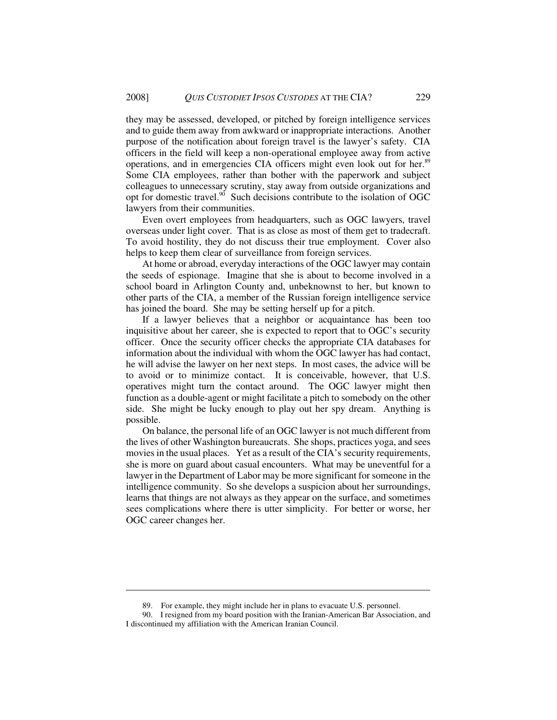they may be assessed, developed, or pitched by foreign intelligence services and to guide them away from awkward or inappropriate interactions. Another purpose of the notification about foreign travel is the lawyer's safety. CIA officers in the field will keep a non-operational employee away from active operations, and in emergencies CIA officers might even look out for her.<sup>89</sup> Some CIA employees, rather than bother with the paperwork and subject colleagues to unnecessary scrutiny, stay away from outside organizations and opt for domestic travel. $90$  Such decisions contribute to the isolation of OGC lawyers from their communities.

Even overt employees from headquarters, such as OGC lawyers, travel overseas under light cover. That is as close as most of them get to tradecraft. To avoid hostility, they do not discuss their true employment. Cover also helps to keep them clear of surveillance from foreign services.

At home or abroad, everyday interactions of the OGC lawyer may contain the seeds of espionage. Imagine that she is about to become involved in a school board in Arlington County and, unbeknownst to her, but known to other parts of the CIA, a member of the Russian foreign intelligence service has joined the board. She may be setting herself up for a pitch.

If a lawyer believes that a neighbor or acquaintance has been too inquisitive about her career, she is expected to report that to OGC's security officer. Once the security officer checks the appropriate CIA databases for information about the individual with whom the OGC lawyer has had contact, he will advise the lawyer on her next steps. In most cases, the advice will be to avoid or to minimize contact. It is conceivable, however, that U.S. operatives might turn the contact around. The OGC lawyer might then function as a double-agent or might facilitate a pitch to somebody on the other side. She might be lucky enough to play out her spy dream. Anything is possible.

On balance, the personal life of an OGC lawyer is not much different from the lives of other Washington bureaucrats. She shops, practices yoga, and sees movies in the usual places. Yet as a result of the CIA's security requirements, she is more on guard about casual encounters. What may be uneventful for a lawyer in the Department of Labor may be more significant for someone in the intelligence community. So she develops a suspicion about her surroundings, learns that things are not always as they appear on the surface, and sometimes sees complications where there is utter simplicity. For better or worse, her OGC career changes her.

<sup>89.</sup> For example, they might include her in plans to evacuate U.S. personnel.

<sup>90.</sup> I resigned from my board position with the Iranian-American Bar Association, and I discontinued my affiliation with the American Iranian Council.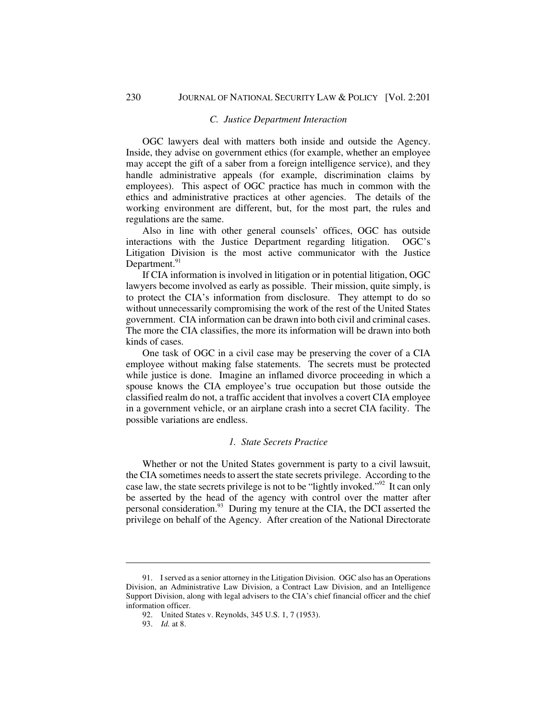### *C. Justice Department Interaction*

OGC lawyers deal with matters both inside and outside the Agency. Inside, they advise on government ethics (for example, whether an employee may accept the gift of a saber from a foreign intelligence service), and they handle administrative appeals (for example, discrimination claims by employees). This aspect of OGC practice has much in common with the ethics and administrative practices at other agencies. The details of the working environment are different, but, for the most part, the rules and regulations are the same.

Also in line with other general counsels' offices, OGC has outside interactions with the Justice Department regarding litigation. OGC's Litigation Division is the most active communicator with the Justice Department. $91$ 

If CIA information is involved in litigation or in potential litigation, OGC lawyers become involved as early as possible. Their mission, quite simply, is to protect the CIA's information from disclosure. They attempt to do so without unnecessarily compromising the work of the rest of the United States government. CIA information can be drawn into both civil and criminal cases. The more the CIA classifies, the more its information will be drawn into both kinds of cases.

One task of OGC in a civil case may be preserving the cover of a CIA employee without making false statements. The secrets must be protected while justice is done. Imagine an inflamed divorce proceeding in which a spouse knows the CIA employee's true occupation but those outside the classified realm do not, a traffic accident that involves a covert CIA employee in a government vehicle, or an airplane crash into a secret CIA facility. The possible variations are endless.

#### *1. State Secrets Practice*

Whether or not the United States government is party to a civil lawsuit, the CIA sometimes needs to assert the state secrets privilege. According to the case law, the state secrets privilege is not to be "lightly invoked."<sup>92</sup> It can only be asserted by the head of the agency with control over the matter after personal consideration.<sup>93</sup> During my tenure at the CIA, the DCI asserted the privilege on behalf of the Agency. After creation of the National Directorate

<sup>91.</sup> I served as a senior attorney in the Litigation Division. OGC also has an Operations Division, an Administrative Law Division, a Contract Law Division, and an Intelligence Support Division, along with legal advisers to the CIA's chief financial officer and the chief information officer.

<sup>92.</sup> United States v. Reynolds, 345 U.S. 1, 7 (1953).

<sup>93.</sup> *Id.* at 8.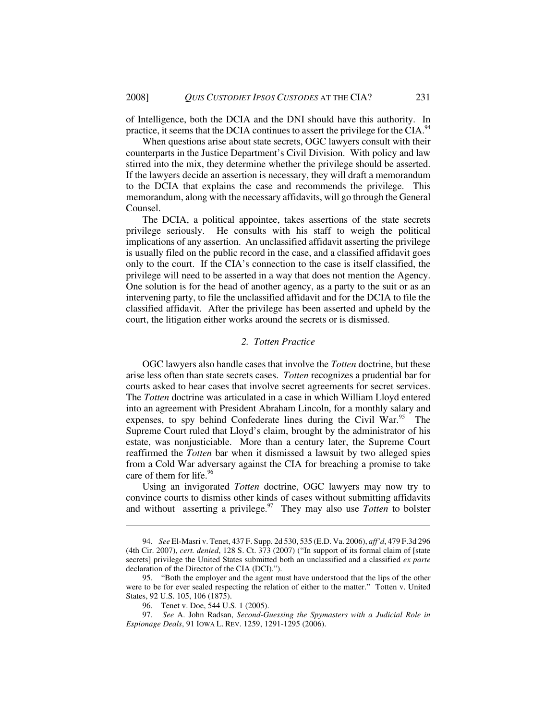of Intelligence, both the DCIA and the DNI should have this authority. In practice, it seems that the DCIA continues to assert the privilege for the CIA.<sup>94</sup>

When questions arise about state secrets, OGC lawyers consult with their counterparts in the Justice Department's Civil Division. With policy and law stirred into the mix, they determine whether the privilege should be asserted. If the lawyers decide an assertion is necessary, they will draft a memorandum to the DCIA that explains the case and recommends the privilege. This memorandum, along with the necessary affidavits, will go through the General Counsel.

The DCIA, a political appointee, takes assertions of the state secrets privilege seriously. He consults with his staff to weigh the political implications of any assertion. An unclassified affidavit asserting the privilege is usually filed on the public record in the case, and a classified affidavit goes only to the court. If the CIA's connection to the case is itself classified, the privilege will need to be asserted in a way that does not mention the Agency. One solution is for the head of another agency, as a party to the suit or as an intervening party, to file the unclassified affidavit and for the DCIA to file the classified affidavit. After the privilege has been asserted and upheld by the court, the litigation either works around the secrets or is dismissed.

### *2. Totten Practice*

OGC lawyers also handle cases that involve the *Totten* doctrine, but these arise less often than state secrets cases. *Totten* recognizes a prudential bar for courts asked to hear cases that involve secret agreements for secret services. The *Totten* doctrine was articulated in a case in which William Lloyd entered into an agreement with President Abraham Lincoln, for a monthly salary and expenses, to spy behind Confederate lines during the Civil War.<sup>95</sup> The Supreme Court ruled that Lloyd's claim, brought by the administrator of his estate, was nonjusticiable. More than a century later, the Supreme Court reaffirmed the *Totten* bar when it dismissed a lawsuit by two alleged spies from a Cold War adversary against the CIA for breaching a promise to take care of them for life. $96$ 

Using an invigorated *Totten* doctrine, OGC lawyers may now try to convince courts to dismiss other kinds of cases without submitting affidavits and without asserting a privilege.<sup>97</sup> They may also use *Totten* to bolster

<sup>94.</sup> *See* El-Masri v. Tenet, 437 F. Supp. 2d 530, 535 (E.D. Va. 2006), *aff'd*, 479 F.3d 296 (4th Cir. 2007), *cert. denied*, 128 S. Ct. 373 (2007) ("In support of its formal claim of [state secrets] privilege the United States submitted both an unclassified and a classified *ex parte* declaration of the Director of the CIA (DCI).").

<sup>95. &</sup>quot;Both the employer and the agent must have understood that the lips of the other were to be for ever sealed respecting the relation of either to the matter." Totten v. United States, 92 U.S. 105, 106 (1875).

<sup>96.</sup> Tenet v. Doe, 544 U.S. 1 (2005).

<sup>97.</sup> *See* A. John Radsan, *Second-Guessing the Spymasters with a Judicial Role in Espionage Deals*, 91 IOWA L. REV. 1259, 1291-1295 (2006).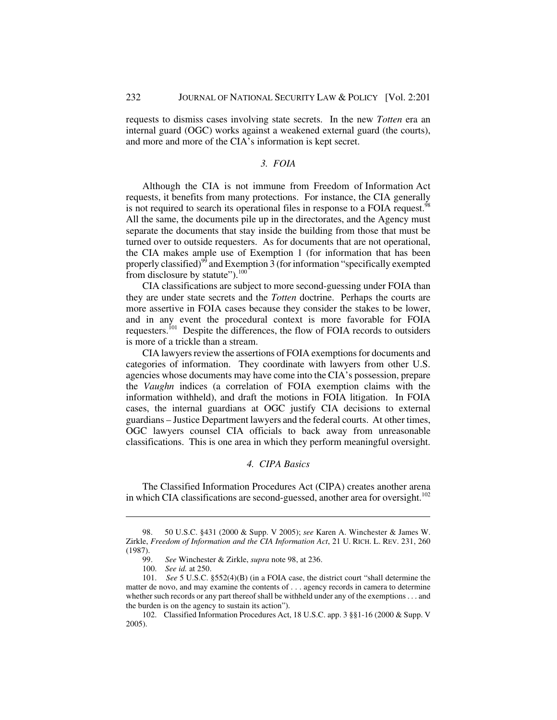requests to dismiss cases involving state secrets. In the new *Totten* era an internal guard (OGC) works against a weakened external guard (the courts), and more and more of the CIA's information is kept secret.

### *3. FOIA*

 Although the CIA is not immune from Freedom of Information Act requests, it benefits from many protections. For instance, the CIA generally is not required to search its operational files in response to a FOIA request.<sup>98</sup> All the same, the documents pile up in the directorates, and the Agency must separate the documents that stay inside the building from those that must be turned over to outside requesters. As for documents that are not operational, the CIA makes ample use of Exemption 1 (for information that has been properly classified)<sup>99</sup> and Exemption 3 (for information "specifically exempted from disclosure by statute"). $100$ 

CIA classifications are subject to more second-guessing under FOIA than they are under state secrets and the *Totten* doctrine. Perhaps the courts are more assertive in FOIA cases because they consider the stakes to be lower, and in any event the procedural context is more favorable for FOIA requesters.<sup>101</sup> Despite the differences, the flow of FOIA records to outsiders is more of a trickle than a stream.

CIA lawyers review the assertions of FOIA exemptions for documents and categories of information. They coordinate with lawyers from other U.S. agencies whose documents may have come into the CIA's possession, prepare the *Vaughn* indices (a correlation of FOIA exemption claims with the information withheld), and draft the motions in FOIA litigation. In FOIA cases, the internal guardians at OGC justify CIA decisions to external guardians – Justice Department lawyers and the federal courts. At other times, OGC lawyers counsel CIA officials to back away from unreasonable classifications. This is one area in which they perform meaningful oversight.

# *4. CIPA Basics*

The Classified Information Procedures Act (CIPA) creates another arena in which CIA classifications are second-guessed, another area for oversight.<sup>102</sup>

<sup>98. 50</sup> U.S.C. §431 (2000 & Supp. V 2005); *see* Karen A. Winchester & James W. Zirkle, *Freedom of Information and the CIA Information Act*, 21 U. RICH. L. REV. 231, 260  $(1987)$ .<br>99.

<sup>99.</sup> *See* Winchester & Zirkle, *supra* note 98, at 236.

<sup>100.</sup> *See id.* at 250.

<sup>101.</sup> *See* 5 U.S.C. §552(4)(B) (in a FOIA case, the district court "shall determine the matter de novo, and may examine the contents of . . . agency records in camera to determine whether such records or any part thereof shall be withheld under any of the exemptions . . . and the burden is on the agency to sustain its action").

<sup>102.</sup> Classified Information Procedures Act, 18 U.S.C. app. 3 §§1-16 (2000 & Supp. V 2005).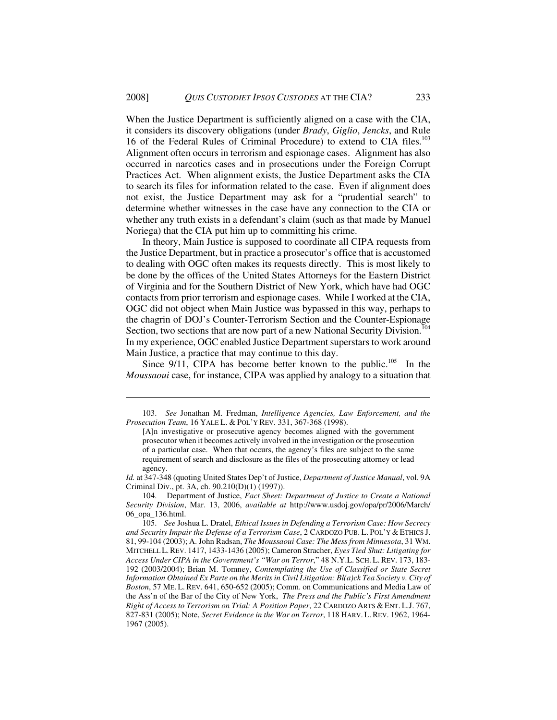When the Justice Department is sufficiently aligned on a case with the CIA, it considers its discovery obligations (under *Brady*, *Giglio*, *Jencks*, and Rule 16 of the Federal Rules of Criminal Procedure) to extend to CIA files.<sup>103</sup> Alignment often occurs in terrorism and espionage cases. Alignment has also occurred in narcotics cases and in prosecutions under the Foreign Corrupt Practices Act. When alignment exists, the Justice Department asks the CIA to search its files for information related to the case. Even if alignment does not exist, the Justice Department may ask for a "prudential search" to determine whether witnesses in the case have any connection to the CIA or whether any truth exists in a defendant's claim (such as that made by Manuel Noriega) that the CIA put him up to committing his crime.

In theory, Main Justice is supposed to coordinate all CIPA requests from the Justice Department, but in practice a prosecutor's office that is accustomed to dealing with OGC often makes its requests directly. This is most likely to be done by the offices of the United States Attorneys for the Eastern District of Virginia and for the Southern District of New York, which have had OGC contacts from prior terrorism and espionage cases. While I worked at the CIA, OGC did not object when Main Justice was bypassed in this way, perhaps to the chagrin of DOJ's Counter-Terrorism Section and the Counter-Espionage Section, two sections that are now part of a new National Security Division.<sup>104</sup> In my experience, OGC enabled Justice Department superstars to work around Main Justice, a practice that may continue to this day.

Since  $9/11$ , CIPA has become better known to the public.<sup>105</sup> In the *Moussaoui* case, for instance, CIPA was applied by analogy to a situation that

*Id.* at 347-348 (quoting United States Dep't of Justice, *Department of Justice Manual*, vol. 9A Criminal Div., pt. 3A, ch. 90.210(D)(1) (1997)).

104. Department of Justice, *Fact Sheet: Department of Justice to Create a National Security Division*, Mar. 13, 2006, *available at* http://www.usdoj.gov/opa/pr/2006/March/ 06\_opa\_136.html.

<sup>103.</sup> *See* Jonathan M. Fredman, *Intelligence Agencies, Law Enforcement, and the Prosecution Team*, 16 YALE L. & POL'Y REV. 331, 367-368 (1998).

<sup>[</sup>A]n investigative or prosecutive agency becomes aligned with the government prosecutor when it becomes actively involved in the investigation or the prosecution of a particular case. When that occurs, the agency's files are subject to the same requirement of search and disclosure as the files of the prosecuting attorney or lead agency.

<sup>105.</sup> *See* Joshua L. Dratel, *Ethical Issues in Defending a Terrorism Case: How Secrecy and Security Impair the Defense of a Terrorism Case*, 2 CARDOZO PUB. L. POL'Y & ETHICS J. 81, 99-104 (2003); A. John Radsan, *The Moussaoui Case: The Mess from Minnesota*, 31 WM. MITCHELL L.REV. 1417, 1433-1436 (2005); Cameron Stracher, *Eyes Tied Shut: Litigating for Access Under CIPA in the Government's "War on Terror*," 48 N.Y.L. SCH. L.REV. 173, 183- 192 (2003/2004); Brian M. Tomney, *Contemplating the Use of Classified or State Secret Information Obtained Ex Parte on the Merits in Civil Litigation: Bl(a)ck Tea Society v. City of Boston*, 57 ME. L. REV. 641, 650-652 (2005); Comm. on Communications and Media Law of the Ass'n of the Bar of the City of New York, *The Press and the Public's First Amendment Right of Access to Terrorism on Trial: A Position Paper*, 22 CARDOZO ARTS & ENT. L.J. 767, 827-831 (2005); Note, *Secret Evidence in the War on Terror*, 118 HARV. L.REV. 1962, 1964- 1967 (2005).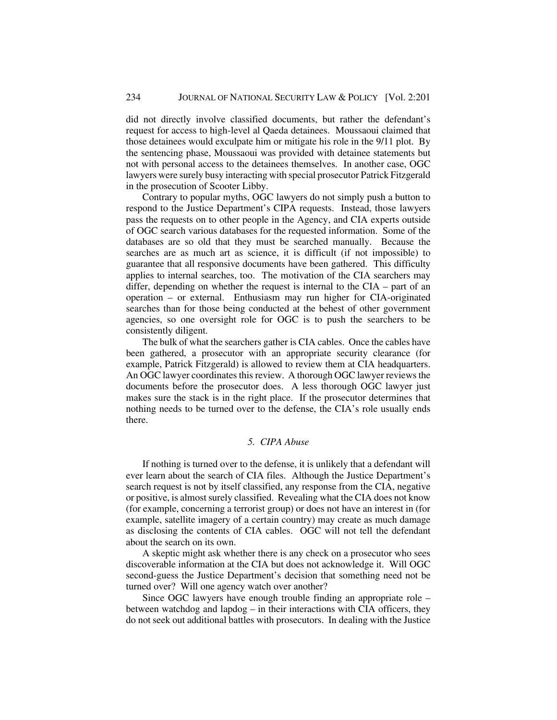did not directly involve classified documents, but rather the defendant's request for access to high-level al Qaeda detainees. Moussaoui claimed that those detainees would exculpate him or mitigate his role in the 9/11 plot. By the sentencing phase, Moussaoui was provided with detainee statements but not with personal access to the detainees themselves. In another case, OGC lawyers were surely busy interacting with special prosecutor Patrick Fitzgerald in the prosecution of Scooter Libby.

Contrary to popular myths, OGC lawyers do not simply push a button to respond to the Justice Department's CIPA requests. Instead, those lawyers pass the requests on to other people in the Agency, and CIA experts outside of OGC search various databases for the requested information. Some of the databases are so old that they must be searched manually. Because the searches are as much art as science, it is difficult (if not impossible) to guarantee that all responsive documents have been gathered. This difficulty applies to internal searches, too. The motivation of the CIA searchers may differ, depending on whether the request is internal to the CIA – part of an operation – or external. Enthusiasm may run higher for CIA-originated searches than for those being conducted at the behest of other government agencies, so one oversight role for OGC is to push the searchers to be consistently diligent.

The bulk of what the searchers gather is CIA cables. Once the cables have been gathered, a prosecutor with an appropriate security clearance (for example, Patrick Fitzgerald) is allowed to review them at CIA headquarters. An OGC lawyer coordinates this review. A thorough OGC lawyer reviews the documents before the prosecutor does. A less thorough OGC lawyer just makes sure the stack is in the right place. If the prosecutor determines that nothing needs to be turned over to the defense, the CIA's role usually ends there.

### *5. CIPA Abuse*

If nothing is turned over to the defense, it is unlikely that a defendant will ever learn about the search of CIA files. Although the Justice Department's search request is not by itself classified, any response from the CIA, negative or positive, is almost surely classified. Revealing what the CIA does not know (for example, concerning a terrorist group) or does not have an interest in (for example, satellite imagery of a certain country) may create as much damage as disclosing the contents of CIA cables. OGC will not tell the defendant about the search on its own.

A skeptic might ask whether there is any check on a prosecutor who sees discoverable information at the CIA but does not acknowledge it. Will OGC second-guess the Justice Department's decision that something need not be turned over? Will one agency watch over another?

Since OGC lawyers have enough trouble finding an appropriate role – between watchdog and lapdog – in their interactions with CIA officers, they do not seek out additional battles with prosecutors. In dealing with the Justice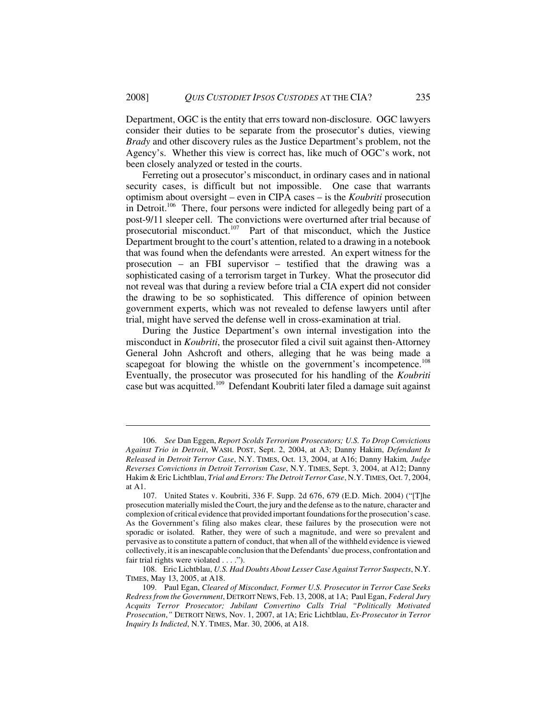Department, OGC is the entity that errs toward non-disclosure. OGC lawyers consider their duties to be separate from the prosecutor's duties, viewing *Brady* and other discovery rules as the Justice Department's problem, not the Agency's. Whether this view is correct has, like much of OGC's work, not been closely analyzed or tested in the courts.

Ferreting out a prosecutor's misconduct, in ordinary cases and in national security cases, is difficult but not impossible. One case that warrants optimism about oversight – even in CIPA cases – is the *Koubriti* prosecution in Detroit.<sup>106</sup> There, four persons were indicted for allegedly being part of a post-9/11 sleeper cell. The convictions were overturned after trial because of prosecutorial misconduct.<sup>107</sup> Part of that misconduct, which the Justice Department brought to the court's attention, related to a drawing in a notebook that was found when the defendants were arrested. An expert witness for the prosecution – an FBI supervisor – testified that the drawing was a sophisticated casing of a terrorism target in Turkey. What the prosecutor did not reveal was that during a review before trial a CIA expert did not consider the drawing to be so sophisticated. This difference of opinion between government experts, which was not revealed to defense lawyers until after trial, might have served the defense well in cross-examination at trial.

During the Justice Department's own internal investigation into the misconduct in *Koubriti*, the prosecutor filed a civil suit against then-Attorney General John Ashcroft and others, alleging that he was being made a scapegoat for blowing the whistle on the government's incompetence.<sup>108</sup> Eventually, the prosecutor was prosecuted for his handling of the *Koubriti* case but was acquitted.<sup>109</sup> Defendant Koubriti later filed a damage suit against

<sup>106.</sup> *See* Dan Eggen, *Report Scolds Terrorism Prosecutors; U.S. To Drop Convictions Against Trio in Detroit*, WASH. POST, Sept. 2, 2004, at A3; Danny Hakim, *Defendant Is Released in Detroit Terror Case*, N.Y. TIMES, Oct. 13, 2004, at A16; Danny Hakim*, Judge Reverses Convictions in Detroit Terrorism Case*, N.Y. TIMES, Sept. 3, 2004, at A12; Danny Hakim & Eric Lichtblau, *Trial and Errors: The Detroit Terror Case*, N.Y.TIMES, Oct. 7, 2004, at A1.

<sup>107.</sup> United States v. Koubriti, 336 F. Supp. 2d 676, 679 (E.D. Mich. 2004) ("[T]he prosecution materially misled the Court, the jury and the defense as to the nature, character and complexion of critical evidence that provided important foundations for the prosecution's case. As the Government's filing also makes clear, these failures by the prosecution were not sporadic or isolated. Rather, they were of such a magnitude, and were so prevalent and pervasive as to constitute a pattern of conduct, that when all of the withheld evidence is viewed collectively, it is an inescapable conclusion that the Defendants' due process, confrontation and fair trial rights were violated . . . .").

<sup>108.</sup> Eric Lichtblau, *U.S. Had Doubts About Lesser Case Against Terror Suspects*, N.Y. TIMES, May 13, 2005, at A18.

<sup>109.</sup> Paul Egan, *Cleared of Misconduct, Former U.S. Prosecutor in Terror Case Seeks Redress from the Government*, DETROIT NEWS, Feb. 13, 2008, at 1A; Paul Egan, *Federal Jury Acquits Terror Prosecutor; Jubilant Convertino Calls Trial "Politically Motivated Prosecution*,*"* DETROIT NEWS, Nov. 1, 2007, at 1A; Eric Lichtblau, *Ex-Prosecutor in Terror Inquiry Is Indicted*, N.Y. TIMES, Mar. 30, 2006, at A18.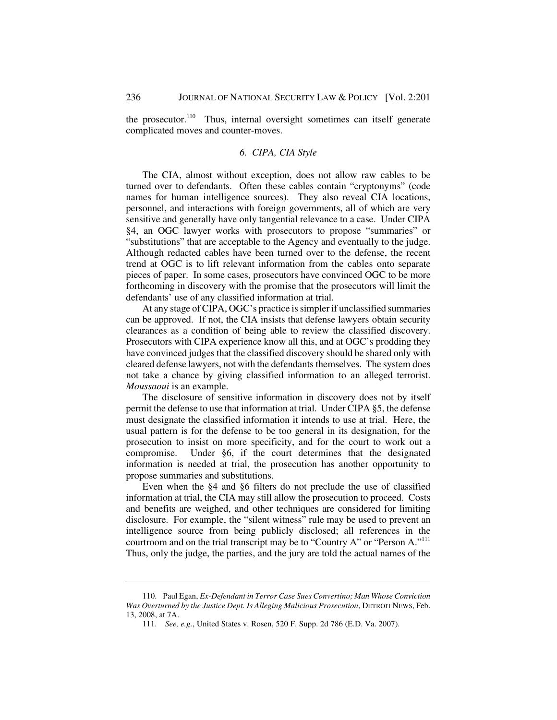the prosecutor.<sup>110</sup> Thus, internal oversight sometimes can itself generate complicated moves and counter-moves.

### *6. CIPA, CIA Style*

The CIA, almost without exception, does not allow raw cables to be turned over to defendants. Often these cables contain "cryptonyms" (code names for human intelligence sources). They also reveal CIA locations, personnel, and interactions with foreign governments, all of which are very sensitive and generally have only tangential relevance to a case. Under CIPA §4, an OGC lawyer works with prosecutors to propose "summaries" or "substitutions" that are acceptable to the Agency and eventually to the judge. Although redacted cables have been turned over to the defense, the recent trend at OGC is to lift relevant information from the cables onto separate pieces of paper. In some cases, prosecutors have convinced OGC to be more forthcoming in discovery with the promise that the prosecutors will limit the defendants' use of any classified information at trial.

At any stage of CIPA, OGC's practice is simpler if unclassified summaries can be approved. If not, the CIA insists that defense lawyers obtain security clearances as a condition of being able to review the classified discovery. Prosecutors with CIPA experience know all this, and at OGC's prodding they have convinced judges that the classified discovery should be shared only with cleared defense lawyers, not with the defendants themselves. The system does not take a chance by giving classified information to an alleged terrorist. *Moussaoui* is an example.

The disclosure of sensitive information in discovery does not by itself permit the defense to use that information at trial. Under CIPA §5, the defense must designate the classified information it intends to use at trial. Here, the usual pattern is for the defense to be too general in its designation, for the prosecution to insist on more specificity, and for the court to work out a compromise. Under §6, if the court determines that the designated information is needed at trial, the prosecution has another opportunity to propose summaries and substitutions.

Even when the §4 and §6 filters do not preclude the use of classified information at trial, the CIA may still allow the prosecution to proceed. Costs and benefits are weighed, and other techniques are considered for limiting disclosure. For example, the "silent witness" rule may be used to prevent an intelligence source from being publicly disclosed; all references in the courtroom and on the trial transcript may be to "Country A" or "Person A."<sup>111</sup> Thus, only the judge, the parties, and the jury are told the actual names of the

<sup>110.</sup> Paul Egan, *Ex-Defendant in Terror Case Sues Convertino; Man Whose Conviction Was Overturned by the Justice Dept. Is Alleging Malicious Prosecution*, DETROIT NEWS, Feb. 13, 2008, at 7A.

<sup>111.</sup> *See, e.g.*, United States v. Rosen, 520 F. Supp. 2d 786 (E.D. Va. 2007).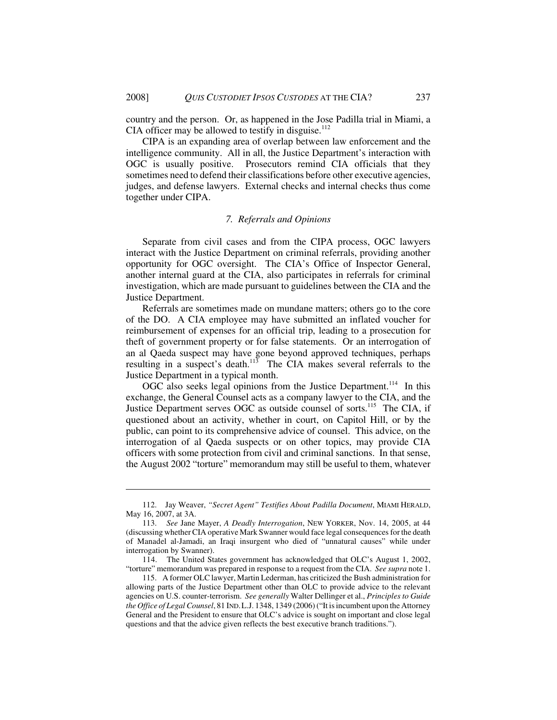country and the person. Or, as happened in the Jose Padilla trial in Miami, a CIA officer may be allowed to testify in disguise. $112$ 

CIPA is an expanding area of overlap between law enforcement and the intelligence community. All in all, the Justice Department's interaction with OGC is usually positive. Prosecutors remind CIA officials that they sometimes need to defend their classifications before other executive agencies, judges, and defense lawyers. External checks and internal checks thus come together under CIPA.

### *7. Referrals and Opinions*

Separate from civil cases and from the CIPA process, OGC lawyers interact with the Justice Department on criminal referrals, providing another opportunity for OGC oversight. The CIA's Office of Inspector General, another internal guard at the CIA, also participates in referrals for criminal investigation, which are made pursuant to guidelines between the CIA and the Justice Department.

Referrals are sometimes made on mundane matters; others go to the core of the DO. A CIA employee may have submitted an inflated voucher for reimbursement of expenses for an official trip, leading to a prosecution for theft of government property or for false statements. Or an interrogation of an al Qaeda suspect may have gone beyond approved techniques, perhaps resulting in a suspect's death.<sup>113</sup> The CIA makes several referrals to the Justice Department in a typical month.

OGC also seeks legal opinions from the Justice Department.<sup>114</sup> In this exchange, the General Counsel acts as a company lawyer to the CIA, and the Justice Department serves OGC as outside counsel of sorts.<sup>115</sup> The CIA, if questioned about an activity, whether in court, on Capitol Hill, or by the public, can point to its comprehensive advice of counsel. This advice, on the interrogation of al Qaeda suspects or on other topics, may provide CIA officers with some protection from civil and criminal sanctions. In that sense, the August 2002 "torture" memorandum may still be useful to them, whatever

<sup>112.</sup> Jay Weaver, *"Secret Agent" Testifies About Padilla Document*, MIAMI HERALD, May 16, 2007, at 3A.

<sup>113.</sup> *See* Jane Mayer, *A Deadly Interrogation*, NEW YORKER, Nov. 14, 2005, at 44 (discussing whether CIA operative Mark Swanner would face legal consequences for the death of Manadel al-Jamadi, an Iraqi insurgent who died of "unnatural causes" while under interrogation by Swanner).

<sup>114.</sup> The United States government has acknowledged that OLC's August 1, 2002, "torture" memorandum was prepared in response to a request from the CIA. *See supra* note 1.

<sup>115.</sup> A former OLC lawyer, Martin Lederman, has criticized the Bush administration for allowing parts of the Justice Department other than OLC to provide advice to the relevant agencies on U.S. counter-terrorism. *See generally* Walter Dellinger et al., *Principles to Guide the Office of Legal Counsel*, 81 IND.L.J. 1348, 1349 (2006) ("It is incumbent upon the Attorney General and the President to ensure that OLC's advice is sought on important and close legal questions and that the advice given reflects the best executive branch traditions.").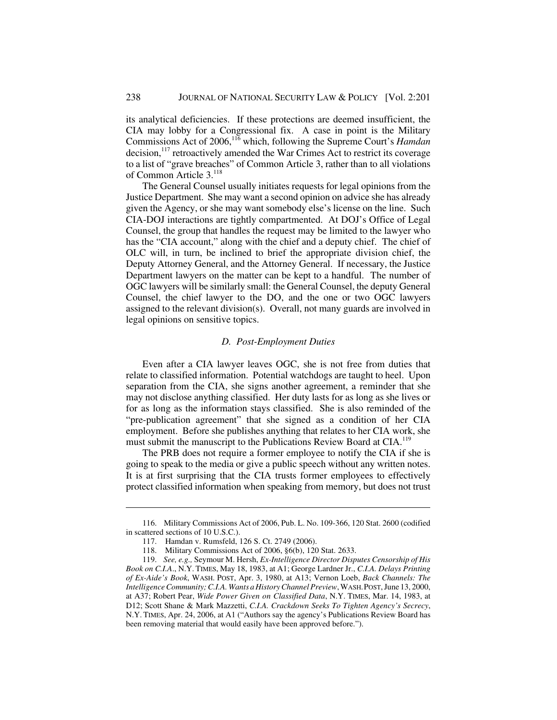its analytical deficiencies. If these protections are deemed insufficient, the CIA may lobby for a Congressional fix. A case in point is the Military Commissions Act of 2006,116 which, following the Supreme Court's *Hamdan* decision,<sup>117</sup> retroactively amended the War Crimes Act to restrict its coverage to a list of "grave breaches" of Common Article 3, rather than to all violations of Common Article 3.<sup>118</sup>

The General Counsel usually initiates requests for legal opinions from the Justice Department. She may want a second opinion on advice she has already given the Agency, or she may want somebody else's license on the line. Such CIA-DOJ interactions are tightly compartmented. At DOJ's Office of Legal Counsel, the group that handles the request may be limited to the lawyer who has the "CIA account," along with the chief and a deputy chief. The chief of OLC will, in turn, be inclined to brief the appropriate division chief, the Deputy Attorney General, and the Attorney General. If necessary, the Justice Department lawyers on the matter can be kept to a handful. The number of OGC lawyers will be similarly small: the General Counsel, the deputy General Counsel, the chief lawyer to the DO, and the one or two OGC lawyers assigned to the relevant division(s). Overall, not many guards are involved in legal opinions on sensitive topics.

#### *D. Post-Employment Duties*

Even after a CIA lawyer leaves OGC, she is not free from duties that relate to classified information. Potential watchdogs are taught to heel. Upon separation from the CIA, she signs another agreement, a reminder that she may not disclose anything classified. Her duty lasts for as long as she lives or for as long as the information stays classified. She is also reminded of the "pre-publication agreement" that she signed as a condition of her CIA employment. Before she publishes anything that relates to her CIA work, she must submit the manuscript to the Publications Review Board at CIA.<sup>119</sup>

The PRB does not require a former employee to notify the CIA if she is going to speak to the media or give a public speech without any written notes. It is at first surprising that the CIA trusts former employees to effectively protect classified information when speaking from memory, but does not trust

<sup>116.</sup> Military Commissions Act of 2006, Pub. L. No. 109-366, 120 Stat. 2600 (codified in scattered sections of 10 U.S.C.).

<sup>117.</sup> Hamdan v. Rumsfeld, 126 S. Ct. 2749 (2006).

<sup>118.</sup> Military Commissions Act of 2006, §6(b), 120 Stat. 2633.

<sup>119.</sup> *See, e.g.,* Seymour M. Hersh, *Ex-Intelligence Director Disputes Censorship of His Book on C.I.A*., N.Y. TIMES, May 18, 1983, at A1; George Lardner Jr., *C.I.A. Delays Printing of Ex-Aide's Book*, WASH. POST, Apr. 3, 1980, at A13; Vernon Loeb, *Back Channels: The Intelligence Community; C.I.A. Wants a History Channel Preview*, WASH.POST, June 13, 2000, at A37; Robert Pear, *Wide Power Given on Classified Data*, N.Y. TIMES, Mar. 14, 1983, at D12; Scott Shane & Mark Mazzetti, *C.I.A. Crackdown Seeks To Tighten Agency's Secrecy*, N.Y. TIMES, Apr. 24, 2006, at A1 ("Authors say the agency's Publications Review Board has been removing material that would easily have been approved before.").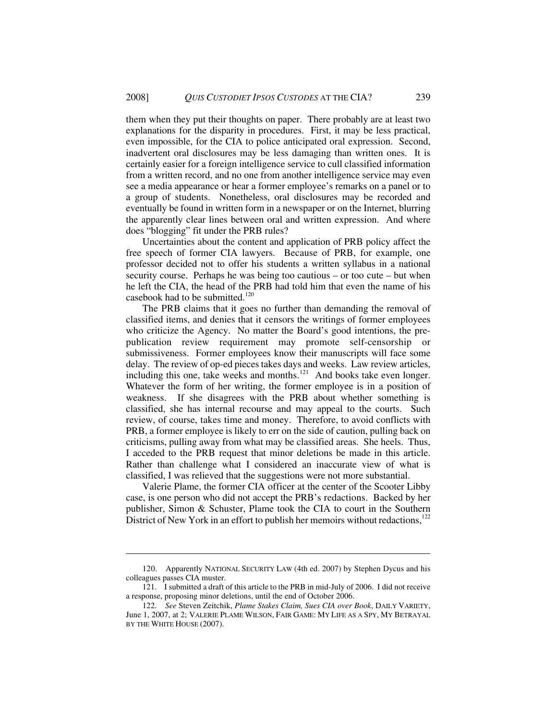them when they put their thoughts on paper. There probably are at least two explanations for the disparity in procedures. First, it may be less practical, even impossible, for the CIA to police anticipated oral expression. Second, inadvertent oral disclosures may be less damaging than written ones. It is certainly easier for a foreign intelligence service to cull classified information from a written record, and no one from another intelligence service may even see a media appearance or hear a former employee's remarks on a panel or to a group of students. Nonetheless, oral disclosures may be recorded and eventually be found in written form in a newspaper or on the Internet, blurring the apparently clear lines between oral and written expression. And where does "blogging" fit under the PRB rules?

Uncertainties about the content and application of PRB policy affect the free speech of former CIA lawyers. Because of PRB, for example, one professor decided not to offer his students a written syllabus in a national security course. Perhaps he was being too cautious – or too cute – but when he left the CIA, the head of the PRB had told him that even the name of his casebook had to be submitted.<sup>120</sup>

The PRB claims that it goes no further than demanding the removal of classified items, and denies that it censors the writings of former employees who criticize the Agency. No matter the Board's good intentions, the prepublication review requirement may promote self-censorship or submissiveness. Former employees know their manuscripts will face some delay. The review of op-ed pieces takes days and weeks. Law review articles, including this one, take weeks and months. $121$  And books take even longer. Whatever the form of her writing, the former employee is in a position of weakness. If she disagrees with the PRB about whether something is classified, she has internal recourse and may appeal to the courts. Such review, of course, takes time and money. Therefore, to avoid conflicts with PRB, a former employee is likely to err on the side of caution, pulling back on criticisms, pulling away from what may be classified areas. She heels. Thus, I acceded to the PRB request that minor deletions be made in this article. Rather than challenge what I considered an inaccurate view of what is classified, I was relieved that the suggestions were not more substantial.

Valerie Plame, the former CIA officer at the center of the Scooter Libby case, is one person who did not accept the PRB's redactions. Backed by her publisher, Simon & Schuster, Plame took the CIA to court in the Southern District of New York in an effort to publish her memoirs without redactions, $122$ 

<sup>120.</sup> Apparently NATIONAL SECURITY LAW (4th ed. 2007) by Stephen Dycus and his colleagues passes CIA muster.

<sup>121.</sup> I submitted a draft of this article to the PRB in mid-July of 2006. I did not receive a response, proposing minor deletions, until the end of October 2006.

<sup>122.</sup> *See* Steven Zeitchik, *Plame Stakes Claim, Sues CIA over Book*, DAILY VARIETY, June 1, 2007, at 2; VALERIE PLAME WILSON, FAIR GAME: MY LIFE AS A SPY, MY BETRAYAL BY THE WHITE HOUSE (2007).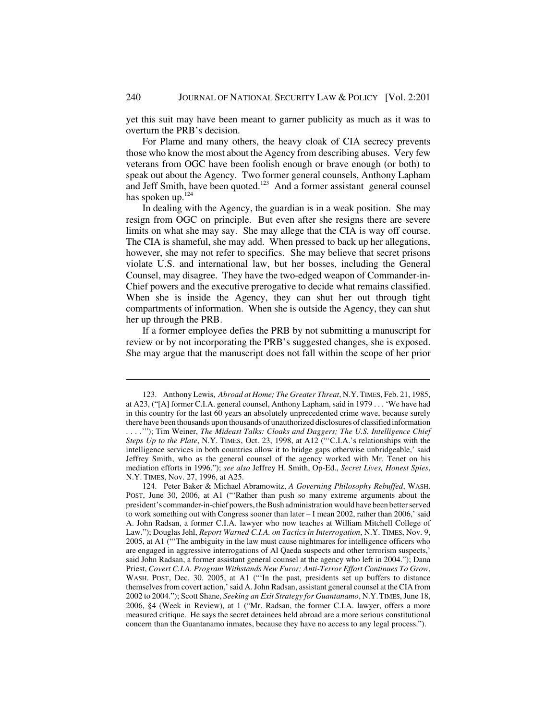yet this suit may have been meant to garner publicity as much as it was to overturn the PRB's decision.

For Plame and many others, the heavy cloak of CIA secrecy prevents those who know the most about the Agency from describing abuses. Very few veterans from OGC have been foolish enough or brave enough (or both) to speak out about the Agency. Two former general counsels, Anthony Lapham and Jeff Smith, have been quoted.<sup>123</sup> And a former assistant general counsel has spoken up.<sup>124</sup>

In dealing with the Agency, the guardian is in a weak position. She may resign from OGC on principle. But even after she resigns there are severe limits on what she may say. She may allege that the CIA is way off course. The CIA is shameful, she may add. When pressed to back up her allegations, however, she may not refer to specifics. She may believe that secret prisons violate U.S. and international law, but her bosses, including the General Counsel, may disagree. They have the two-edged weapon of Commander-in-Chief powers and the executive prerogative to decide what remains classified. When she is inside the Agency, they can shut her out through tight compartments of information. When she is outside the Agency, they can shut her up through the PRB.

If a former employee defies the PRB by not submitting a manuscript for review or by not incorporating the PRB's suggested changes, she is exposed. She may argue that the manuscript does not fall within the scope of her prior

<sup>123.</sup> Anthony Lewis, *Abroad at Home; The Greater Threat*, N.Y.TIMES, Feb. 21, 1985, at A23, ("[A] former C.I.A. general counsel, Anthony Lapham, said in 1979 . . . 'We have had in this country for the last 60 years an absolutely unprecedented crime wave, because surely there have been thousands upon thousands of unauthorized disclosures of classified information . . . .'"); Tim Weiner, *The Mideast Talks: Cloaks and Daggers; The U.S. Intelligence Chief Steps Up to the Plate*, N.Y. TIMES, Oct. 23, 1998, at A12 ("'C.I.A.'s relationships with the intelligence services in both countries allow it to bridge gaps otherwise unbridgeable,' said Jeffrey Smith, who as the general counsel of the agency worked with Mr. Tenet on his mediation efforts in 1996."); *see also* Jeffrey H. Smith, Op-Ed., *Secret Lives, Honest Spies*, N.Y. TIMES, Nov. 27, 1996, at A25.

<sup>124.</sup> Peter Baker & Michael Abramowitz, *A Governing Philosophy Rebuffed*, WASH. POST, June 30, 2006, at A1 ("'Rather than push so many extreme arguments about the president's commander-in-chief powers, the Bush administration would have been better served to work something out with Congress sooner than later – I mean 2002, rather than 2006,' said A. John Radsan, a former C.I.A. lawyer who now teaches at William Mitchell College of Law."); Douglas Jehl, *Report Warned C.I.A. on Tactics in Interrogation*, N.Y. TIMES, Nov. 9, 2005, at A1 ("'The ambiguity in the law must cause nightmares for intelligence officers who are engaged in aggressive interrogations of Al Qaeda suspects and other terrorism suspects,' said John Radsan, a former assistant general counsel at the agency who left in 2004."); Dana Priest, *Covert C.I.A. Program Withstands New Furor; Anti-Terror Effort Continues To Grow*, WASH. POST, Dec. 30. 2005, at A1 ("'In the past, presidents set up buffers to distance themselves from covert action,' said A. John Radsan, assistant general counsel at the CIA from 2002 to 2004."); Scott Shane, *Seeking an Exit Strategy for Guantanamo*, N.Y.TIMES, June 18, 2006, §4 (Week in Review), at 1 ("Mr. Radsan, the former C.I.A. lawyer, offers a more measured critique. He says the secret detainees held abroad are a more serious constitutional concern than the Guantanamo inmates, because they have no access to any legal process.").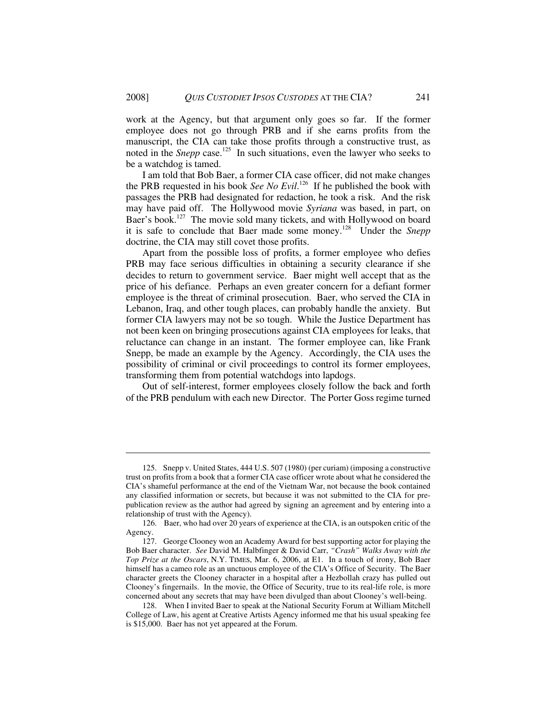work at the Agency, but that argument only goes so far. If the former employee does not go through PRB and if she earns profits from the manuscript, the CIA can take those profits through a constructive trust, as noted in the *Snepp* case.<sup>125</sup> In such situations, even the lawyer who seeks to be a watchdog is tamed.

I am told that Bob Baer, a former CIA case officer, did not make changes the PRB requested in his book *See No Evil*. 126 If he published the book with passages the PRB had designated for redaction, he took a risk. And the risk may have paid off. The Hollywood movie *Syriana* was based, in part, on Baer's book.<sup>127</sup> The movie sold many tickets, and with Hollywood on board it is safe to conclude that Baer made some money.128 Under the *Snepp* doctrine, the CIA may still covet those profits.

Apart from the possible loss of profits, a former employee who defies PRB may face serious difficulties in obtaining a security clearance if she decides to return to government service. Baer might well accept that as the price of his defiance. Perhaps an even greater concern for a defiant former employee is the threat of criminal prosecution. Baer, who served the CIA in Lebanon, Iraq, and other tough places, can probably handle the anxiety. But former CIA lawyers may not be so tough. While the Justice Department has not been keen on bringing prosecutions against CIA employees for leaks, that reluctance can change in an instant. The former employee can, like Frank Snepp, be made an example by the Agency. Accordingly, the CIA uses the possibility of criminal or civil proceedings to control its former employees, transforming them from potential watchdogs into lapdogs.

Out of self-interest, former employees closely follow the back and forth of the PRB pendulum with each new Director. The Porter Goss regime turned

<sup>125.</sup> Snepp v. United States, 444 U.S. 507 (1980) (per curiam) (imposing a constructive trust on profits from a book that a former CIA case officer wrote about what he considered the CIA's shameful performance at the end of the Vietnam War, not because the book contained any classified information or secrets, but because it was not submitted to the CIA for prepublication review as the author had agreed by signing an agreement and by entering into a relationship of trust with the Agency).

<sup>126.</sup> Baer, who had over 20 years of experience at the CIA, is an outspoken critic of the Agency.

<sup>127.</sup> George Clooney won an Academy Award for best supporting actor for playing the Bob Baer character. *See* David M. Halbfinger & David Carr, *"Crash" Walks Away with the Top Prize at the Oscars*, N.Y. TIMES, Mar. 6, 2006, at E1. In a touch of irony, Bob Baer himself has a cameo role as an unctuous employee of the CIA's Office of Security. The Baer character greets the Clooney character in a hospital after a Hezbollah crazy has pulled out Clooney's fingernails. In the movie, the Office of Security, true to its real-life role, is more concerned about any secrets that may have been divulged than about Clooney's well-being.

<sup>128.</sup> When I invited Baer to speak at the National Security Forum at William Mitchell College of Law, his agent at Creative Artists Agency informed me that his usual speaking fee is \$15,000. Baer has not yet appeared at the Forum.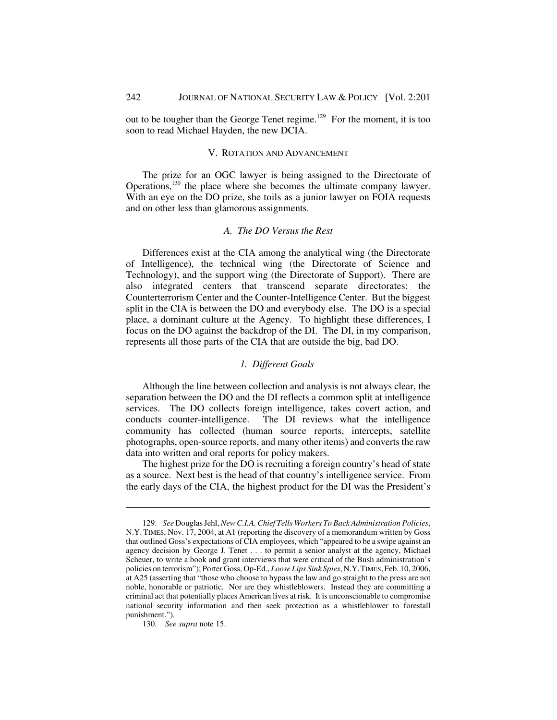out to be tougher than the George Tenet regime.<sup>129</sup> For the moment, it is too soon to read Michael Hayden, the new DCIA.

# V. ROTATION AND ADVANCEMENT

The prize for an OGC lawyer is being assigned to the Directorate of Operations,130 the place where she becomes the ultimate company lawyer. With an eye on the DO prize, she toils as a junior lawyer on FOIA requests and on other less than glamorous assignments.

### *A. The DO Versus the Rest*

Differences exist at the CIA among the analytical wing (the Directorate of Intelligence), the technical wing (the Directorate of Science and Technology), and the support wing (the Directorate of Support). There are also integrated centers that transcend separate directorates: the Counterterrorism Center and the Counter-Intelligence Center. But the biggest split in the CIA is between the DO and everybody else. The DO is a special place, a dominant culture at the Agency. To highlight these differences, I focus on the DO against the backdrop of the DI. The DI, in my comparison, represents all those parts of the CIA that are outside the big, bad DO.

# *1. Different Goals*

Although the line between collection and analysis is not always clear, the separation between the DO and the DI reflects a common split at intelligence services. The DO collects foreign intelligence, takes covert action, and conducts counter-intelligence. The DI reviews what the intelligence community has collected (human source reports, intercepts, satellite photographs, open-source reports, and many other items) and converts the raw data into written and oral reports for policy makers.

The highest prize for the DO is recruiting a foreign country's head of state as a source. Next best is the head of that country's intelligence service. From the early days of the CIA, the highest product for the DI was the President's

<sup>129.</sup> *See* Douglas Jehl, *New C.I.A. Chief Tells Workers To Back Administration Policies*, N.Y. TIMES, Nov. 17, 2004, at A1 (reporting the discovery of a memorandum written by Goss that outlined Goss's expectations of CIA employees, which "appeared to be a swipe against an agency decision by George J. Tenet . . . to permit a senior analyst at the agency, Michael Scheuer, to write a book and grant interviews that were critical of the Bush administration's policies on terrorism"); Porter Goss, Op-Ed., *Loose Lips Sink Spies*, N.Y.TIMES, Feb. 10, 2006, at A25 (asserting that "those who choose to bypass the law and go straight to the press are not noble, honorable or patriotic. Nor are they whistleblowers. Instead they are committing a criminal act that potentially places American lives at risk. It is unconscionable to compromise national security information and then seek protection as a whistleblower to forestall punishment.").

<sup>130.</sup> *See supra* note 15.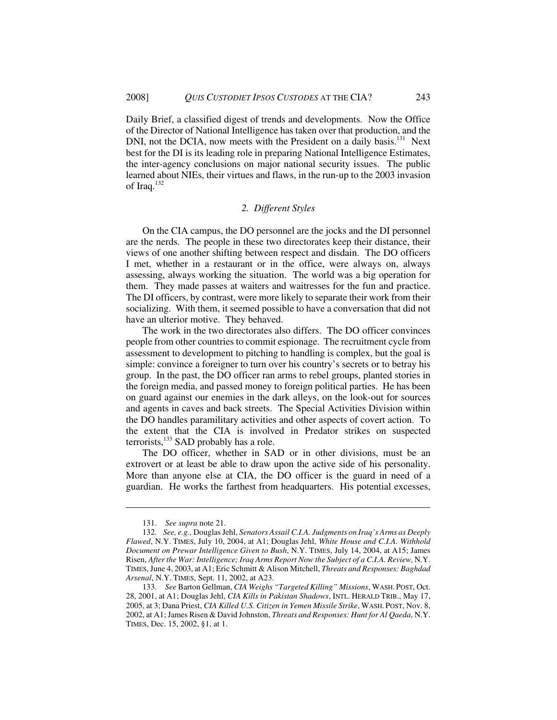Daily Brief, a classified digest of trends and developments. Now the Office of the Director of National Intelligence has taken over that production, and the DNI, not the DCIA, now meets with the President on a daily basis.<sup>131</sup> Next best for the DI is its leading role in preparing National Intelligence Estimates, the inter-agency conclusions on major national security issues. The public learned about NIEs, their virtues and flaws, in the run-up to the 2003 invasion of Iraq.<sup>132</sup>

### *2. Different Styles*

On the CIA campus, the DO personnel are the jocks and the DI personnel are the nerds. The people in these two directorates keep their distance, their views of one another shifting between respect and disdain. The DO officers I met, whether in a restaurant or in the office, were always on, always assessing, always working the situation. The world was a big operation for them. They made passes at waiters and waitresses for the fun and practice. The DI officers, by contrast, were more likely to separate their work from their socializing. With them, it seemed possible to have a conversation that did not have an ulterior motive. They behaved.

The work in the two directorates also differs. The DO officer convinces people from other countries to commit espionage. The recruitment cycle from assessment to development to pitching to handling is complex, but the goal is simple: convince a foreigner to turn over his country's secrets or to betray his group. In the past, the DO officer ran arms to rebel groups, planted stories in the foreign media, and passed money to foreign political parties. He has been on guard against our enemies in the dark alleys, on the look-out for sources and agents in caves and back streets. The Special Activities Division within the DO handles paramilitary activities and other aspects of covert action. To the extent that the CIA is involved in Predator strikes on suspected terrorists, $^{133}$  SAD probably has a role.

The DO officer, whether in SAD or in other divisions, must be an extrovert or at least be able to draw upon the active side of his personality. More than anyone else at CIA, the DO officer is the guard in need of a guardian. He works the farthest from headquarters. His potential excesses,

<sup>131.</sup> *See supra* note 21.

<sup>132.</sup> *See, e.g.,* Douglas Jehl, *Senators Assail C.I.A. Judgments on Iraq's Arms as Deeply Flawed*, N.Y. TIMES, July 10, 2004, at A1; Douglas Jehl, *White House and C.I.A. Withhold Document on Prewar Intelligence Given to Bush*, N.Y. TIMES, July 14, 2004, at A15; James Risen, *After the War: Intelligence; Iraq Arms Report Now the Subject of a C.I.A. Review,* N.Y. TIMES, June 4, 2003, at A1; Eric Schmitt & Alison Mitchell, *Threats and Responses: Baghdad Arsenal*, N.Y. TIMES, Sept. 11, 2002, at A23.

<sup>133.</sup> *See* Barton Gellman, *CIA Weighs "Targeted Killing" Missions*, WASH. POST, Oct. 28, 2001, at A1; Douglas Jehl, *CIA Kills in Pakistan Shadows*, INTL. HERALD TRIB., May 17, 2005, at 3; Dana Priest, *CIA Killed U.S. Citizen in Yemen Missile Strike*, WASH. POST, Nov. 8, 2002, at A1; James Risen & David Johnston, *Threats and Responses: Hunt for Al Qaeda*, N.Y. TIMES, Dec. 15, 2002, §1, at 1.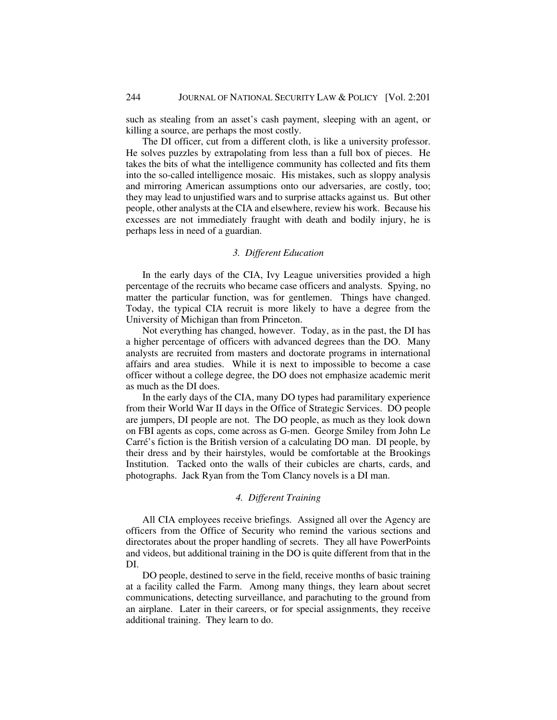such as stealing from an asset's cash payment, sleeping with an agent, or killing a source, are perhaps the most costly.

The DI officer, cut from a different cloth, is like a university professor. He solves puzzles by extrapolating from less than a full box of pieces. He takes the bits of what the intelligence community has collected and fits them into the so-called intelligence mosaic. His mistakes, such as sloppy analysis and mirroring American assumptions onto our adversaries, are costly, too; they may lead to unjustified wars and to surprise attacks against us. But other people, other analysts at the CIA and elsewhere, review his work. Because his excesses are not immediately fraught with death and bodily injury, he is perhaps less in need of a guardian.

# *3. Different Education*

In the early days of the CIA, Ivy League universities provided a high percentage of the recruits who became case officers and analysts. Spying, no matter the particular function, was for gentlemen. Things have changed. Today, the typical CIA recruit is more likely to have a degree from the University of Michigan than from Princeton.

Not everything has changed, however. Today, as in the past, the DI has a higher percentage of officers with advanced degrees than the DO. Many analysts are recruited from masters and doctorate programs in international affairs and area studies. While it is next to impossible to become a case officer without a college degree, the DO does not emphasize academic merit as much as the DI does.

In the early days of the CIA, many DO types had paramilitary experience from their World War II days in the Office of Strategic Services. DO people are jumpers, DI people are not. The DO people, as much as they look down on FBI agents as cops, come across as G-men. George Smiley from John Le Carré's fiction is the British version of a calculating DO man. DI people, by their dress and by their hairstyles, would be comfortable at the Brookings Institution. Tacked onto the walls of their cubicles are charts, cards, and photographs. Jack Ryan from the Tom Clancy novels is a DI man.

### *4. Different Training*

All CIA employees receive briefings. Assigned all over the Agency are officers from the Office of Security who remind the various sections and directorates about the proper handling of secrets. They all have PowerPoints and videos, but additional training in the DO is quite different from that in the DI.

DO people, destined to serve in the field, receive months of basic training at a facility called the Farm. Among many things, they learn about secret communications, detecting surveillance, and parachuting to the ground from an airplane. Later in their careers, or for special assignments, they receive additional training. They learn to do.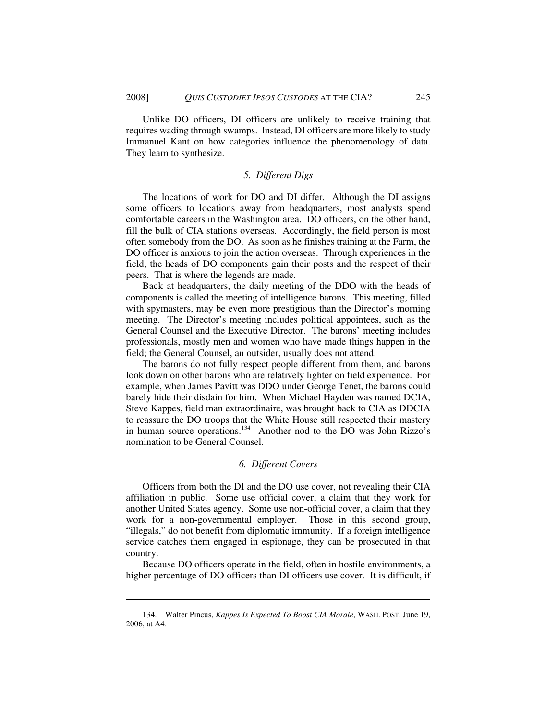Unlike DO officers, DI officers are unlikely to receive training that requires wading through swamps. Instead, DI officers are more likely to study Immanuel Kant on how categories influence the phenomenology of data. They learn to synthesize.

### *5. Different Digs*

The locations of work for DO and DI differ. Although the DI assigns some officers to locations away from headquarters, most analysts spend comfortable careers in the Washington area. DO officers, on the other hand, fill the bulk of CIA stations overseas. Accordingly, the field person is most often somebody from the DO. As soon as he finishes training at the Farm, the DO officer is anxious to join the action overseas. Through experiences in the field, the heads of DO components gain their posts and the respect of their peers. That is where the legends are made.

Back at headquarters, the daily meeting of the DDO with the heads of components is called the meeting of intelligence barons. This meeting, filled with spymasters, may be even more prestigious than the Director's morning meeting. The Director's meeting includes political appointees, such as the General Counsel and the Executive Director. The barons' meeting includes professionals, mostly men and women who have made things happen in the field; the General Counsel, an outsider, usually does not attend.

The barons do not fully respect people different from them, and barons look down on other barons who are relatively lighter on field experience. For example, when James Pavitt was DDO under George Tenet, the barons could barely hide their disdain for him. When Michael Hayden was named DCIA, Steve Kappes, field man extraordinaire, was brought back to CIA as DDCIA to reassure the DO troops that the White House still respected their mastery in human source operations.<sup>134</sup> Another nod to the DO was John Rizzo's nomination to be General Counsel.

# *6. Different Covers*

Officers from both the DI and the DO use cover, not revealing their CIA affiliation in public. Some use official cover, a claim that they work for another United States agency. Some use non-official cover, a claim that they work for a non-governmental employer. Those in this second group, "illegals," do not benefit from diplomatic immunity. If a foreign intelligence service catches them engaged in espionage, they can be prosecuted in that country.

Because DO officers operate in the field, often in hostile environments, a higher percentage of DO officers than DI officers use cover. It is difficult, if

<sup>134.</sup> Walter Pincus, *Kappes Is Expected To Boost CIA Morale*, WASH. POST, June 19, 2006, at A4.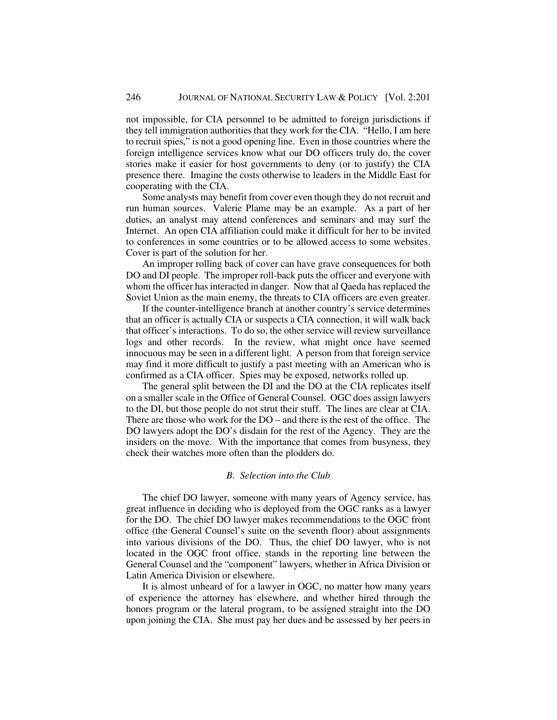not impossible, for CIA personnel to be admitted to foreign jurisdictions if they tell immigration authorities that they work for the CIA. "Hello, I am here to recruit spies," is not a good opening line. Even in those countries where the foreign intelligence services know what our DO officers truly do, the cover stories make it easier for host governments to deny (or to justify) the CIA presence there. Imagine the costs otherwise to leaders in the Middle East for cooperating with the CIA.

Some analysts may benefit from cover even though they do not recruit and run human sources. Valerie Plame may be an example. As a part of her duties, an analyst may attend conferences and seminars and may surf the Internet. An open CIA affiliation could make it difficult for her to be invited to conferences in some countries or to be allowed access to some websites. Cover is part of the solution for her.

An improper rolling back of cover can have grave consequences for both DO and DI people. The improper roll-back puts the officer and everyone with whom the officer has interacted in danger. Now that al Qaeda has replaced the Soviet Union as the main enemy, the threats to CIA officers are even greater.

If the counter-intelligence branch at another country's service determines that an officer is actually CIA or suspects a CIA connection, it will walk back that officer's interactions. To do so, the other service will review surveillance logs and other records. In the review, what might once have seemed innocuous may be seen in a different light. A person from that foreign service may find it more difficult to justify a past meeting with an American who is confirmed as a CIA officer. Spies may be exposed, networks rolled up.

The general split between the DI and the DO at the CIA replicates itself on a smaller scale in the Office of General Counsel. OGC does assign lawyers to the DI, but those people do not strut their stuff. The lines are clear at CIA. There are those who work for the DO – and there is the rest of the office. The DO lawyers adopt the DO's disdain for the rest of the Agency. They are the insiders on the move. With the importance that comes from busyness, they check their watches more often than the plodders do.

### *B. Selection into the Club*

The chief DO lawyer, someone with many years of Agency service, has great influence in deciding who is deployed from the OGC ranks as a lawyer for the DO. The chief DO lawyer makes recommendations to the OGC front office (the General Counsel's suite on the seventh floor) about assignments into various divisions of the DO. Thus, the chief DO lawyer, who is not located in the OGC front office, stands in the reporting line between the General Counsel and the "component" lawyers, whether in Africa Division or Latin America Division or elsewhere.

It is almost unheard of for a lawyer in OGC, no matter how many years of experience the attorney has elsewhere, and whether hired through the honors program or the lateral program, to be assigned straight into the DO upon joining the CIA. She must pay her dues and be assessed by her peers in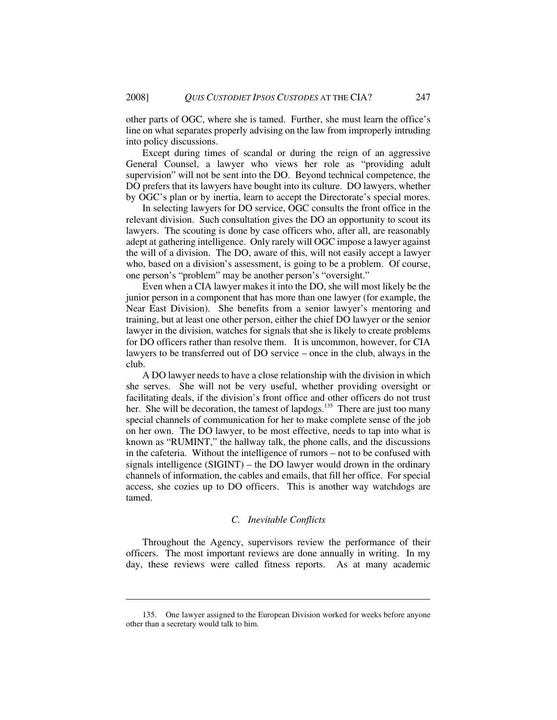other parts of OGC, where she is tamed. Further, she must learn the office's line on what separates properly advising on the law from improperly intruding into policy discussions.

Except during times of scandal or during the reign of an aggressive General Counsel, a lawyer who views her role as "providing adult supervision" will not be sent into the DO. Beyond technical competence, the DO prefers that its lawyers have bought into its culture. DO lawyers, whether by OGC's plan or by inertia, learn to accept the Directorate's special mores.

In selecting lawyers for DO service, OGC consults the front office in the relevant division. Such consultation gives the DO an opportunity to scout its lawyers. The scouting is done by case officers who, after all, are reasonably adept at gathering intelligence. Only rarely will OGC impose a lawyer against the will of a division. The DO, aware of this, will not easily accept a lawyer who, based on a division's assessment, is going to be a problem. Of course, one person's "problem" may be another person's "oversight."

Even when a CIA lawyer makes it into the DO, she will most likely be the junior person in a component that has more than one lawyer (for example, the Near East Division). She benefits from a senior lawyer's mentoring and training, but at least one other person, either the chief DO lawyer or the senior lawyer in the division, watches for signals that she is likely to create problems for DO officers rather than resolve them. It is uncommon, however, for CIA lawyers to be transferred out of DO service – once in the club, always in the club.

A DO lawyer needs to have a close relationship with the division in which she serves. She will not be very useful, whether providing oversight or facilitating deals, if the division's front office and other officers do not trust her. She will be decoration, the tamest of lapdogs.<sup>135</sup> There are just too many special channels of communication for her to make complete sense of the job on her own. The DO lawyer, to be most effective, needs to tap into what is known as "RUMINT," the hallway talk, the phone calls, and the discussions in the cafeteria. Without the intelligence of rumors – not to be confused with signals intelligence (SIGINT) – the DO lawyer would drown in the ordinary channels of information, the cables and emails, that fill her office. For special access, she cozies up to DO officers. This is another way watchdogs are tamed.

### *C. Inevitable Conflicts*

Throughout the Agency, supervisors review the performance of their officers. The most important reviews are done annually in writing. In my day, these reviews were called fitness reports. As at many academic

<sup>135.</sup> One lawyer assigned to the European Division worked for weeks before anyone other than a secretary would talk to him.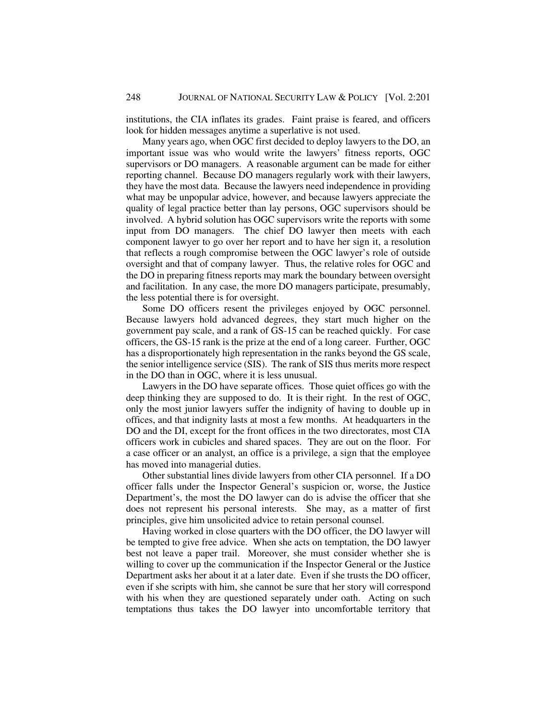institutions, the CIA inflates its grades. Faint praise is feared, and officers look for hidden messages anytime a superlative is not used.

Many years ago, when OGC first decided to deploy lawyers to the DO, an important issue was who would write the lawyers' fitness reports, OGC supervisors or DO managers. A reasonable argument can be made for either reporting channel. Because DO managers regularly work with their lawyers, they have the most data. Because the lawyers need independence in providing what may be unpopular advice, however, and because lawyers appreciate the quality of legal practice better than lay persons, OGC supervisors should be involved. A hybrid solution has OGC supervisors write the reports with some input from DO managers. The chief DO lawyer then meets with each component lawyer to go over her report and to have her sign it, a resolution that reflects a rough compromise between the OGC lawyer's role of outside oversight and that of company lawyer. Thus, the relative roles for OGC and the DO in preparing fitness reports may mark the boundary between oversight and facilitation. In any case, the more DO managers participate, presumably, the less potential there is for oversight.

Some DO officers resent the privileges enjoyed by OGC personnel. Because lawyers hold advanced degrees, they start much higher on the government pay scale, and a rank of GS-15 can be reached quickly. For case officers, the GS-15 rank is the prize at the end of a long career. Further, OGC has a disproportionately high representation in the ranks beyond the GS scale, the senior intelligence service (SIS). The rank of SIS thus merits more respect in the DO than in OGC, where it is less unusual.

Lawyers in the DO have separate offices. Those quiet offices go with the deep thinking they are supposed to do. It is their right. In the rest of OGC, only the most junior lawyers suffer the indignity of having to double up in offices, and that indignity lasts at most a few months. At headquarters in the DO and the DI, except for the front offices in the two directorates, most CIA officers work in cubicles and shared spaces. They are out on the floor. For a case officer or an analyst, an office is a privilege, a sign that the employee has moved into managerial duties.

Other substantial lines divide lawyers from other CIA personnel. If a DO officer falls under the Inspector General's suspicion or, worse, the Justice Department's, the most the DO lawyer can do is advise the officer that she does not represent his personal interests. She may, as a matter of first principles, give him unsolicited advice to retain personal counsel.

Having worked in close quarters with the DO officer, the DO lawyer will be tempted to give free advice. When she acts on temptation, the DO lawyer best not leave a paper trail. Moreover, she must consider whether she is willing to cover up the communication if the Inspector General or the Justice Department asks her about it at a later date. Even if she trusts the DO officer, even if she scripts with him, she cannot be sure that her story will correspond with his when they are questioned separately under oath. Acting on such temptations thus takes the DO lawyer into uncomfortable territory that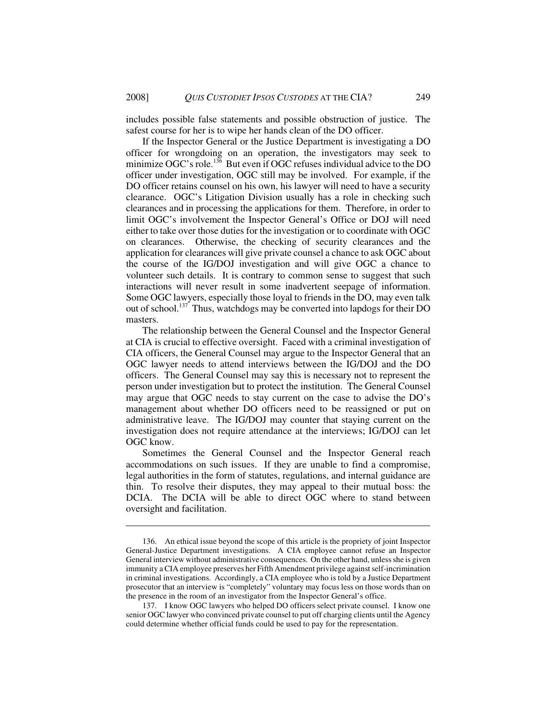includes possible false statements and possible obstruction of justice. The safest course for her is to wipe her hands clean of the DO officer.

If the Inspector General or the Justice Department is investigating a DO officer for wrongdoing on an operation, the investigators may seek to minimize OGC's role.<sup>136</sup> But even if OGC refuses individual advice to the DO officer under investigation, OGC still may be involved. For example, if the DO officer retains counsel on his own, his lawyer will need to have a security clearance. OGC's Litigation Division usually has a role in checking such clearances and in processing the applications for them. Therefore, in order to limit OGC's involvement the Inspector General's Office or DOJ will need either to take over those duties for the investigation or to coordinate with OGC on clearances. Otherwise, the checking of security clearances and the application for clearances will give private counsel a chance to ask OGC about the course of the IG/DOJ investigation and will give OGC a chance to volunteer such details. It is contrary to common sense to suggest that such interactions will never result in some inadvertent seepage of information. Some OGC lawyers, especially those loyal to friends in the DO, may even talk out of school.<sup>137</sup> Thus, watchdogs may be converted into lapdogs for their DO masters.

The relationship between the General Counsel and the Inspector General at CIA is crucial to effective oversight. Faced with a criminal investigation of CIA officers, the General Counsel may argue to the Inspector General that an OGC lawyer needs to attend interviews between the IG/DOJ and the DO officers. The General Counsel may say this is necessary not to represent the person under investigation but to protect the institution. The General Counsel may argue that OGC needs to stay current on the case to advise the DO's management about whether DO officers need to be reassigned or put on administrative leave. The IG/DOJ may counter that staying current on the investigation does not require attendance at the interviews; IG/DOJ can let OGC know.

Sometimes the General Counsel and the Inspector General reach accommodations on such issues. If they are unable to find a compromise, legal authorities in the form of statutes, regulations, and internal guidance are thin. To resolve their disputes, they may appeal to their mutual boss: the DCIA. The DCIA will be able to direct OGC where to stand between oversight and facilitation.

<sup>136.</sup> An ethical issue beyond the scope of this article is the propriety of joint Inspector General-Justice Department investigations. A CIA employee cannot refuse an Inspector General interview without administrative consequences. On the other hand, unless she is given immunity a CIA employee preserves her Fifth Amendment privilege against self-incrimination in criminal investigations. Accordingly, a CIA employee who is told by a Justice Department prosecutor that an interview is "completely" voluntary may focus less on those words than on the presence in the room of an investigator from the Inspector General's office.

<sup>137.</sup> I know OGC lawyers who helped DO officers select private counsel. I know one senior OGC lawyer who convinced private counsel to put off charging clients until the Agency could determine whether official funds could be used to pay for the representation.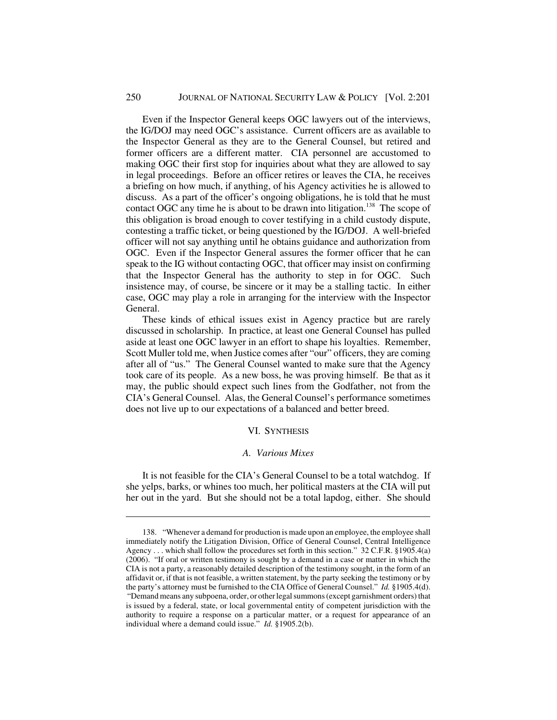#### 250 JOURNAL OF NATIONAL SECURITY LAW & POLICY [Vol. 2:201

Even if the Inspector General keeps OGC lawyers out of the interviews, the IG/DOJ may need OGC's assistance. Current officers are as available to the Inspector General as they are to the General Counsel, but retired and former officers are a different matter. CIA personnel are accustomed to making OGC their first stop for inquiries about what they are allowed to say in legal proceedings. Before an officer retires or leaves the CIA, he receives a briefing on how much, if anything, of his Agency activities he is allowed to discuss. As a part of the officer's ongoing obligations, he is told that he must contact OGC any time he is about to be drawn into litigation.<sup>138</sup> The scope of this obligation is broad enough to cover testifying in a child custody dispute, contesting a traffic ticket, or being questioned by the IG/DOJ. A well-briefed officer will not say anything until he obtains guidance and authorization from OGC. Even if the Inspector General assures the former officer that he can speak to the IG without contacting OGC, that officer may insist on confirming that the Inspector General has the authority to step in for OGC. Such insistence may, of course, be sincere or it may be a stalling tactic. In either case, OGC may play a role in arranging for the interview with the Inspector General.

These kinds of ethical issues exist in Agency practice but are rarely discussed in scholarship. In practice, at least one General Counsel has pulled aside at least one OGC lawyer in an effort to shape his loyalties. Remember, Scott Muller told me, when Justice comes after "our" officers, they are coming after all of "us." The General Counsel wanted to make sure that the Agency took care of its people. As a new boss, he was proving himself. Be that as it may, the public should expect such lines from the Godfather, not from the CIA's General Counsel. Alas, the General Counsel's performance sometimes does not live up to our expectations of a balanced and better breed.

# VI. SYNTHESIS

#### *A. Various Mixes*

It is not feasible for the CIA's General Counsel to be a total watchdog. If she yelps, barks, or whines too much, her political masters at the CIA will put her out in the yard. But she should not be a total lapdog, either. She should

<sup>138. &</sup>quot;Whenever a demand for production is made upon an employee, the employee shall immediately notify the Litigation Division, Office of General Counsel, Central Intelligence Agency . . . which shall follow the procedures set forth in this section." 32 C.F.R. §1905.4(a) (2006). "If oral or written testimony is sought by a demand in a case or matter in which the CIA is not a party, a reasonably detailed description of the testimony sought, in the form of an affidavit or, if that is not feasible, a written statement, by the party seeking the testimony or by the party's attorney must be furnished to the CIA Office of General Counsel." *Id.* §1905.4(d). "Demand means any subpoena, order, or other legal summons (except garnishment orders) that is issued by a federal, state, or local governmental entity of competent jurisdiction with the authority to require a response on a particular matter, or a request for appearance of an individual where a demand could issue." *Id.* §1905.2(b).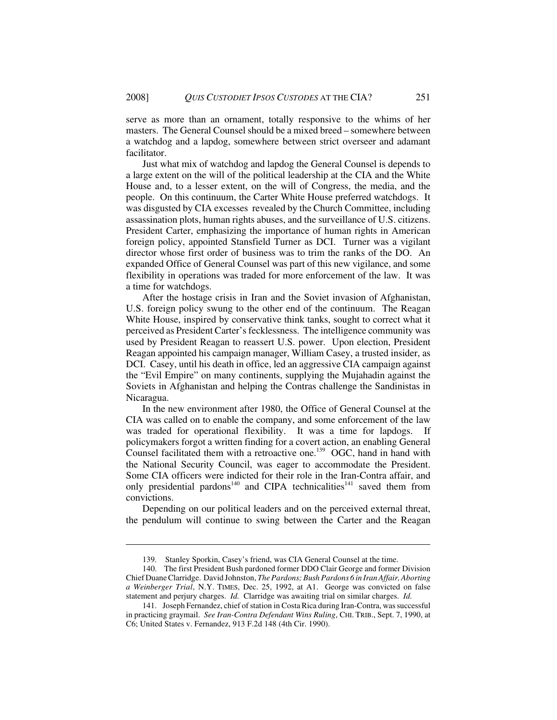serve as more than an ornament, totally responsive to the whims of her masters. The General Counsel should be a mixed breed – somewhere between a watchdog and a lapdog, somewhere between strict overseer and adamant facilitator.

Just what mix of watchdog and lapdog the General Counsel is depends to a large extent on the will of the political leadership at the CIA and the White House and, to a lesser extent, on the will of Congress, the media, and the people. On this continuum, the Carter White House preferred watchdogs. It was disgusted by CIA excesses revealed by the Church Committee, including assassination plots, human rights abuses, and the surveillance of U.S. citizens. President Carter, emphasizing the importance of human rights in American foreign policy, appointed Stansfield Turner as DCI. Turner was a vigilant director whose first order of business was to trim the ranks of the DO. An expanded Office of General Counsel was part of this new vigilance, and some flexibility in operations was traded for more enforcement of the law. It was a time for watchdogs.

 After the hostage crisis in Iran and the Soviet invasion of Afghanistan, U.S. foreign policy swung to the other end of the continuum. The Reagan White House, inspired by conservative think tanks, sought to correct what it perceived as President Carter's fecklessness. The intelligence community was used by President Reagan to reassert U.S. power. Upon election, President Reagan appointed his campaign manager, William Casey, a trusted insider, as DCI. Casey, until his death in office, led an aggressive CIA campaign against the "Evil Empire" on many continents, supplying the Mujahadin against the Soviets in Afghanistan and helping the Contras challenge the Sandinistas in Nicaragua.

In the new environment after 1980, the Office of General Counsel at the CIA was called on to enable the company, and some enforcement of the law was traded for operational flexibility. It was a time for lapdogs. If policymakers forgot a written finding for a covert action, an enabling General Counsel facilitated them with a retroactive one.<sup>139</sup> OGC, hand in hand with the National Security Council, was eager to accommodate the President. Some CIA officers were indicted for their role in the Iran-Contra affair, and only presidential pardons<sup>140</sup> and CIPA technicalities<sup>141</sup> saved them from convictions.

Depending on our political leaders and on the perceived external threat, the pendulum will continue to swing between the Carter and the Reagan

<sup>139.</sup> Stanley Sporkin, Casey's friend, was CIA General Counsel at the time.

<sup>140.</sup> The first President Bush pardoned former DDO Clair George and former Division Chief Duane Clarridge. David Johnston, *The Pardons; Bush Pardons 6 in Iran Affair, Aborting a Weinberger Trial*, N.Y. TIMES, Dec. 25, 1992, at A1. George was convicted on false statement and perjury charges. *Id.* Clarridge was awaiting trial on similar charges. *Id.*

<sup>141.</sup> Joseph Fernandez, chief of station in Costa Rica during Iran-Contra, was successful in practicing graymail. *See Iran-Contra Defendant Wins Ruling*, CHI. TRIB., Sept. 7, 1990, at C6; United States v. Fernandez, 913 F.2d 148 (4th Cir. 1990).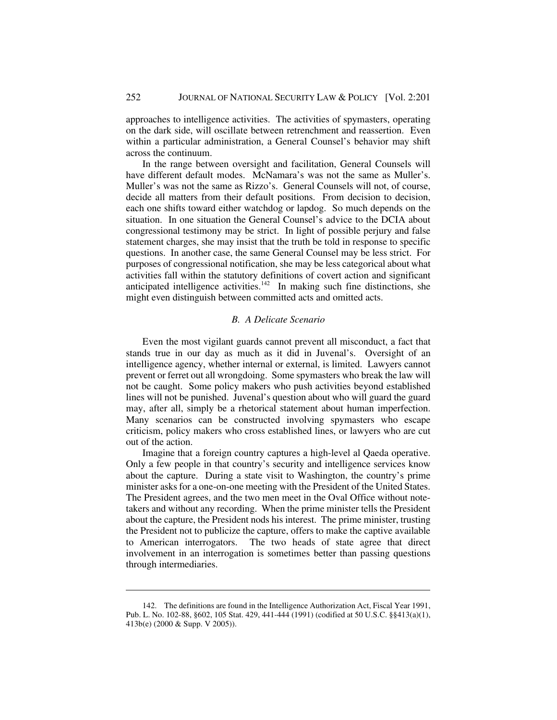approaches to intelligence activities. The activities of spymasters, operating on the dark side, will oscillate between retrenchment and reassertion. Even within a particular administration, a General Counsel's behavior may shift across the continuum.

In the range between oversight and facilitation, General Counsels will have different default modes. McNamara's was not the same as Muller's. Muller's was not the same as Rizzo's. General Counsels will not, of course, decide all matters from their default positions. From decision to decision, each one shifts toward either watchdog or lapdog. So much depends on the situation. In one situation the General Counsel's advice to the DCIA about congressional testimony may be strict. In light of possible perjury and false statement charges, she may insist that the truth be told in response to specific questions. In another case, the same General Counsel may be less strict. For purposes of congressional notification, she may be less categorical about what activities fall within the statutory definitions of covert action and significant anticipated intelligence activities.<sup>142</sup> In making such fine distinctions, she might even distinguish between committed acts and omitted acts.

#### *B. A Delicate Scenario*

Even the most vigilant guards cannot prevent all misconduct, a fact that stands true in our day as much as it did in Juvenal's. Oversight of an intelligence agency, whether internal or external, is limited. Lawyers cannot prevent or ferret out all wrongdoing. Some spymasters who break the law will not be caught. Some policy makers who push activities beyond established lines will not be punished. Juvenal's question about who will guard the guard may, after all, simply be a rhetorical statement about human imperfection. Many scenarios can be constructed involving spymasters who escape criticism, policy makers who cross established lines, or lawyers who are cut out of the action.

Imagine that a foreign country captures a high-level al Qaeda operative. Only a few people in that country's security and intelligence services know about the capture. During a state visit to Washington, the country's prime minister asks for a one-on-one meeting with the President of the United States. The President agrees, and the two men meet in the Oval Office without notetakers and without any recording. When the prime minister tells the President about the capture, the President nods his interest. The prime minister, trusting the President not to publicize the capture, offers to make the captive available to American interrogators. The two heads of state agree that direct involvement in an interrogation is sometimes better than passing questions through intermediaries.

<sup>142.</sup> The definitions are found in the Intelligence Authorization Act, Fiscal Year 1991, Pub. L. No. 102-88, §602, 105 Stat. 429, 441-444 (1991) (codified at 50 U.S.C. §§413(a)(1), 413b(e) (2000 & Supp. V 2005)).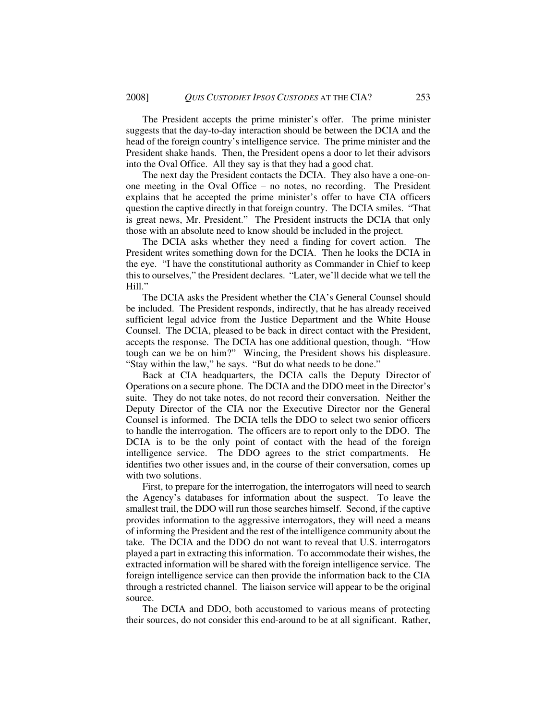The President accepts the prime minister's offer. The prime minister suggests that the day-to-day interaction should be between the DCIA and the head of the foreign country's intelligence service. The prime minister and the President shake hands. Then, the President opens a door to let their advisors into the Oval Office. All they say is that they had a good chat.

The next day the President contacts the DCIA. They also have a one-onone meeting in the Oval Office – no notes, no recording. The President explains that he accepted the prime minister's offer to have CIA officers question the captive directly in that foreign country. The DCIA smiles. "That is great news, Mr. President." The President instructs the DCIA that only those with an absolute need to know should be included in the project.

The DCIA asks whether they need a finding for covert action. The President writes something down for the DCIA. Then he looks the DCIA in the eye. "I have the constitutional authority as Commander in Chief to keep this to ourselves," the President declares. "Later, we'll decide what we tell the Hill."

The DCIA asks the President whether the CIA's General Counsel should be included. The President responds, indirectly, that he has already received sufficient legal advice from the Justice Department and the White House Counsel. The DCIA, pleased to be back in direct contact with the President, accepts the response. The DCIA has one additional question, though. "How tough can we be on him?" Wincing, the President shows his displeasure. "Stay within the law," he says. "But do what needs to be done."

 Back at CIA headquarters, the DCIA calls the Deputy Director of Operations on a secure phone. The DCIA and the DDO meet in the Director's suite. They do not take notes, do not record their conversation. Neither the Deputy Director of the CIA nor the Executive Director nor the General Counsel is informed. The DCIA tells the DDO to select two senior officers to handle the interrogation. The officers are to report only to the DDO. The DCIA is to be the only point of contact with the head of the foreign intelligence service. The DDO agrees to the strict compartments. He identifies two other issues and, in the course of their conversation, comes up with two solutions.

First, to prepare for the interrogation, the interrogators will need to search the Agency's databases for information about the suspect. To leave the smallest trail, the DDO will run those searches himself. Second, if the captive provides information to the aggressive interrogators, they will need a means of informing the President and the rest of the intelligence community about the take. The DCIA and the DDO do not want to reveal that U.S. interrogators played a part in extracting this information. To accommodate their wishes, the extracted information will be shared with the foreign intelligence service. The foreign intelligence service can then provide the information back to the CIA through a restricted channel. The liaison service will appear to be the original source.

The DCIA and DDO, both accustomed to various means of protecting their sources, do not consider this end-around to be at all significant. Rather,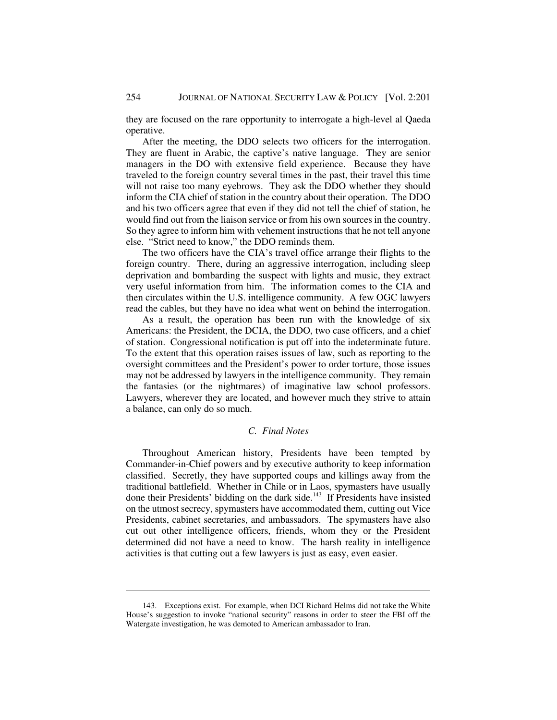they are focused on the rare opportunity to interrogate a high-level al Qaeda operative.

After the meeting, the DDO selects two officers for the interrogation. They are fluent in Arabic, the captive's native language. They are senior managers in the DO with extensive field experience. Because they have traveled to the foreign country several times in the past, their travel this time will not raise too many eyebrows. They ask the DDO whether they should inform the CIA chief of station in the country about their operation. The DDO and his two officers agree that even if they did not tell the chief of station, he would find out from the liaison service or from his own sources in the country. So they agree to inform him with vehement instructions that he not tell anyone else. "Strict need to know," the DDO reminds them.

The two officers have the CIA's travel office arrange their flights to the foreign country. There, during an aggressive interrogation, including sleep deprivation and bombarding the suspect with lights and music, they extract very useful information from him. The information comes to the CIA and then circulates within the U.S. intelligence community. A few OGC lawyers read the cables, but they have no idea what went on behind the interrogation.

As a result, the operation has been run with the knowledge of six Americans: the President, the DCIA, the DDO, two case officers, and a chief of station. Congressional notification is put off into the indeterminate future. To the extent that this operation raises issues of law, such as reporting to the oversight committees and the President's power to order torture, those issues may not be addressed by lawyers in the intelligence community. They remain the fantasies (or the nightmares) of imaginative law school professors. Lawyers, wherever they are located, and however much they strive to attain a balance, can only do so much.

# *C. Final Notes*

Throughout American history, Presidents have been tempted by Commander-in-Chief powers and by executive authority to keep information classified. Secretly, they have supported coups and killings away from the traditional battlefield. Whether in Chile or in Laos, spymasters have usually done their Presidents' bidding on the dark side.143 If Presidents have insisted on the utmost secrecy, spymasters have accommodated them, cutting out Vice Presidents, cabinet secretaries, and ambassadors. The spymasters have also cut out other intelligence officers, friends, whom they or the President determined did not have a need to know. The harsh reality in intelligence activities is that cutting out a few lawyers is just as easy, even easier.

<sup>143.</sup> Exceptions exist. For example, when DCI Richard Helms did not take the White House's suggestion to invoke "national security" reasons in order to steer the FBI off the Watergate investigation, he was demoted to American ambassador to Iran.